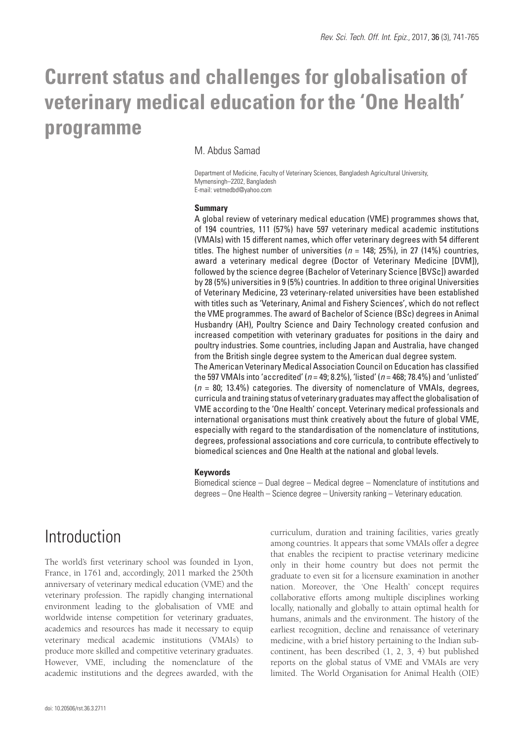# **Current status and challenges for globalisation of veterinary medical education for the 'One Health' programme**

## M. Abdus Samad

Department of Medicine, Faculty of Veterinary Sciences, Bangladesh Agricultural University, Mymensingh–2202, Bangladesh E-mail: vetmedbd@yahoo.com

#### **Summary**

A global review of veterinary medical education (VME) programmes shows that, of 194 countries, 111 (57%) have 597 veterinary medical academic institutions (VMAIs) with 15 different names, which offer veterinary degrees with 54 different titles. The highest number of universities ( $n = 148$ ; 25%), in 27 (14%) countries, award a veterinary medical degree (Doctor of Veterinary Medicine [DVM]), followed by the science degree (Bachelor of Veterinary Science [BVSc]) awarded by 28 (5%) universities in 9 (5%) countries. In addition to three original Universities of Veterinary Medicine, 23 veterinary-related universities have been established with titles such as 'Veterinary, Animal and Fishery Sciences', which do not reflect the VME programmes. The award of Bachelor of Science (BSc) degrees in Animal Husbandry (AH), Poultry Science and Dairy Technology created confusion and increased competition with veterinary graduates for positions in the dairy and poultry industries. Some countries, including Japan and Australia, have changed from the British single degree system to the American dual degree system. The American Veterinary Medical Association Council on Education has classified the 597 VMAIs into 'accredited' (*n* = 49; 8.2%), 'listed' (*n* = 468; 78.4%) and 'unlisted' (*n* = 80; 13.4%) categories. The diversity of nomenclature of VMAIs, degrees, curricula and training status of veterinary graduates may affect the globalisation of VME according to the 'One Health' concept. Veterinary medical professionals and

international organisations must think creatively about the future of global VME, especially with regard to the standardisation of the nomenclature of institutions, degrees, professional associations and core curricula, to contribute effectively to biomedical sciences and One Health at the national and global levels.

### **Keywords**

Biomedical science – Dual degree – Medical degree – Nomenclature of institutions and degrees – One Health – Science degree – University ranking – Veterinary education.

## Introduction

The world's first veterinary school was founded in Lyon, France, in 1761 and, accordingly, 2011 marked the 250th anniversary of veterinary medical education (VME) and the veterinary profession. The rapidly changing international environment leading to the globalisation of VME and worldwide intense competition for veterinary graduates, academics and resources has made it necessary to equip veterinary medical academic institutions (VMAIs) to produce more skilled and competitive veterinary graduates. However, VME, including the nomenclature of the academic institutions and the degrees awarded, with the

curriculum, duration and training facilities, varies greatly among countries. It appears that some VMAIs offer a degree that enables the recipient to practise veterinary medicine only in their home country but does not permit the graduate to even sit for a licensure examination in another nation. Moreover, the 'One Health' concept requires collaborative efforts among multiple disciplines working locally, nationally and globally to attain optimal health for humans, animals and the environment. The history of the earliest recognition, decline and renaissance of veterinary medicine, with a brief history pertaining to the Indian subcontinent, has been described (1, 2, 3, 4) but published reports on the global status of VME and VMAIs are very limited. The World Organisation for Animal Health (OIE)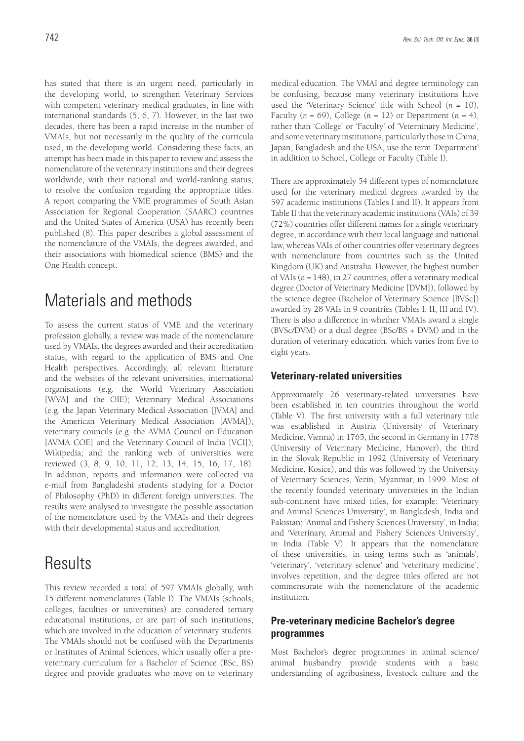has stated that there is an urgent need, particularly in the developing world, to strengthen Veterinary Services with competent veterinary medical graduates, in line with international standards (5, 6, 7). However, in the last two decades, there has been a rapid increase in the number of VMAIs, but not necessarily in the quality of the curricula used, in the developing world. Considering these facts, an attempt has been made in this paper to review and assess the nomenclature of the veterinary institutions and their degrees worldwide, with their national and world-ranking status, to resolve the confusion regarding the appropriate titles. A report comparing the VME programmes of South Asian Association for Regional Cooperation (SAARC) countries and the United States of America (USA) has recently been published (8). This paper describes a global assessment of the nomenclature of the VMAIs, the degrees awarded, and their associations with biomedical science (BMS) and the One Health concept.

## Materials and methods

To assess the current status of VME and the veterinary profession globally, a review was made of the nomenclature used by VMAIs, the degrees awarded and their accreditation status, with regard to the application of BMS and One Health perspectives. Accordingly, all relevant literature and the websites of the relevant universities, international organisations (e.g. the World Veterinary Association [WVA] and the OIE); Veterinary Medical Associations (e.g. the Japan Veterinary Medical Association [JVMA] and the American Veterinary Medical Association [AVMA]); veterinary councils (e.g. the AVMA Council on Education [AVMA COE] and the Veterinary Council of India [VCI]); Wikipedia; and the ranking web of universities were reviewed (3, 8, 9, 10, 11, 12, 13, 14, 15, 16, 17, 18). In addition, reports and information were collected via e-mail from Bangladeshi students studying for a Doctor of Philosophy (PhD) in different foreign universities. The results were analysed to investigate the possible association of the nomenclature used by the VMAIs and their degrees with their developmental status and accreditation.

## **Results**

This review recorded a total of 597 VMAIs globally, with 15 different nomenclatures (Table I). The VMAIs (schools, colleges, faculties or universities) are considered tertiary educational institutions, or are part of such institutions, which are involved in the education of veterinary students. The VMAIs should not be confused with the Departments or Institutes of Animal Sciences, which usually offer a preveterinary curriculum for a Bachelor of Science (BSc, BS) degree and provide graduates who move on to veterinary

medical education. The VMAI and degree terminology can be confusing, because many veterinary institutions have used the 'Veterinary Science' title with School (*n =* 10), Faculty  $(n = 69)$ , College  $(n = 12)$  or Department  $(n = 4)$ , rather than 'College' or 'Faculty' of 'Veterninary Medicine', and some veterinary institutions, particularly those in China, Japan, Bangladesh and the USA, use the term 'Department' in addition to School, College or Faculty (Table I).

There are approximately 54 different types of nomenclature used for the veterinary medical degrees awarded by the 597 academic institutions (Tables I and II). It appears from Table II that the veterinary academic institutions (VAIs) of 39 (72%) countries offer different names for a single veterinary degree, in accordance with their local language and national law, whereas VAIs of other countries offer veterinary degrees with nomenclature from countries such as the United Kingdom (UK) and Australia. However, the highest number of VAIs (*n =* 148), in 27 countries, offer a veterinary medical degree (Doctor of Veterinary Medicine [DVM]), followed by the science degree (Bachelor of Veterinary Science [BVSc]) awarded by 28 VAIs in 9 countries (Tables I, II, III and IV). There is also a difference in whether VMAIs award a single (BVSc/DVM) or a dual degree (BSc/BS + DVM) and in the duration of veterinary education, which varies from five to eight years.

## **Veterinary-related universities**

Approximately 26 veterinary-related universities have been established in ten countries throughout the world (Table V). The first university with a full veterinary title was established in Austria (University of Veterinary Medicine, Vienna) in 1765, the second in Germany in 1778 (University of Veterinary Medicine, Hanover), the third in the Slovak Republic in 1992 (University of Veterinary Medicine, Kosice), and this was followed by the University of Veterinary Sciences, Yezin, Myanmar, in 1999. Most of the recently founded veterinary universities in the Indian sub-continent have mixed titles, for example: 'Veterinary and Animal Sciences University', in Bangladesh, India and Pakistan; 'Animal and Fishery Sciences University', in India; and 'Veterinary, Animal and Fishery Sciences University', in India (Table V). It appears that the nomenclature of these universities, in using terms such as 'animals', 'veterinary', 'veterinary sclence' and 'veterinary medicine', involves repetition, and the degree titles offered are not commensurate with the nomenclature of the academic institution.

## **Pre-veterinary medicine Bachelor's degree programmes**

Most Bachelor's degree programmes in animal science/ animal husbandry provide students with a basic understanding of agribusiness, livestock culture and the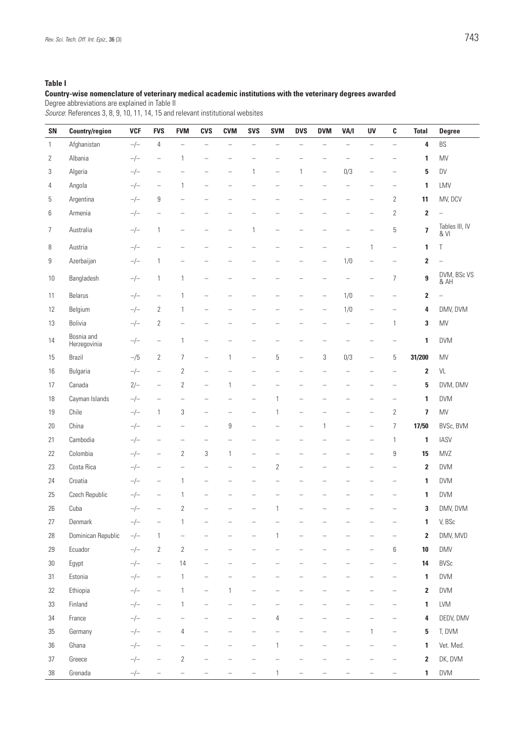### **Table I**

#### **Country-wise nomenclature of veterinary medical academic institutions with the veterinary degrees awarded**

Degree abbreviations are explained in Table II

*Source*: References 3, 8, 9, 10, 11, 14, 15 and relevant institutional websites

| SN     | <b>Country/region</b>      | <b>VCF</b> | <b>FVS</b>                        | <b>FVM</b>               | <b>CVS</b>               | <b>CVM</b>               | <b>SVS</b>               | <b>SVM</b>               | <b>DVS</b>               | <b>DVM</b>               | VA/I                     | <b>UV</b>                | C                        | <b>Total</b>            | <b>Degree</b>            |
|--------|----------------------------|------------|-----------------------------------|--------------------------|--------------------------|--------------------------|--------------------------|--------------------------|--------------------------|--------------------------|--------------------------|--------------------------|--------------------------|-------------------------|--------------------------|
| 1      | Afghanistan                | $-/-$      | $\overline{4}$                    | $\overline{\phantom{0}}$ | $\qquad \qquad -$        | $\equiv$                 | $\equiv$                 | $\equiv$                 | $\equiv$                 | $\overline{\phantom{0}}$ | $\equiv$                 | $\equiv$                 | $\equiv$                 | 4                       | BS                       |
| 2      | Albania                    | $-/-$      | $\overline{\phantom{0}}$          | 1                        | $\overline{\phantom{0}}$ |                          |                          |                          |                          |                          | L,                       |                          |                          | 1                       | MV                       |
| 3      | Algeria                    | $-/-$      | $\overline{\phantom{0}}$          |                          |                          | L,                       | 1                        | $\qquad \qquad -$        | $\mathbf{1}$             | $\overline{\phantom{0}}$ | 0/3                      |                          | $\qquad \qquad -$        | 5                       | DV                       |
| 4      | Angola                     | $-/-$      | $\qquad \qquad -$                 | $\mathbf{1}$             | $\overline{\phantom{0}}$ |                          |                          |                          |                          |                          | $\qquad \qquad -$        | $\overline{\phantom{0}}$ | $\overline{\phantom{0}}$ | 1                       | LMV                      |
| 5      | Argentina                  | $-/-$      | 9                                 |                          |                          |                          |                          |                          |                          |                          | $\overline{\phantom{0}}$ | $\overline{\phantom{0}}$ | $\overline{2}$           | 11                      | MV, DCV                  |
| 6      | Armenia                    | $-/-$      | $\overline{\phantom{0}}$          | $\overline{\phantom{a}}$ |                          |                          | $\overline{\phantom{0}}$ | ÷,                       | ÷,                       | L.                       | $\overline{\phantom{0}}$ | $\overline{\phantom{0}}$ | $\overline{2}$           | $\overline{\mathbf{2}}$ | $\overline{a}$           |
| 7      | Australia                  | $-/-$      | $\mathbf{1}$                      | $\overline{\phantom{0}}$ |                          | $\overline{\phantom{0}}$ | 1                        | $\overline{\phantom{a}}$ | -                        | L.                       | ÷,                       | L.                       | 5                        | $\overline{\mathbf{z}}$ | Tables III, IV<br>& VI   |
| 8      | Austria                    | $-/-$      | $\overline{\phantom{0}}$          |                          |                          |                          |                          |                          |                          |                          | L.                       | 1                        | $\overline{\phantom{0}}$ | 1                       | Τ                        |
| 9      | Azerbaijan                 | $-/-$      | $\mathbf{1}$                      |                          |                          |                          |                          |                          |                          | $\overline{\phantom{0}}$ | 1/0                      | $\overline{\phantom{0}}$ |                          | $\overline{2}$          | $\overline{\phantom{0}}$ |
| 10     | Bangladesh                 | $-/-$      | $\mathbf{1}$                      | $\mathbf{1}$             | ÷                        |                          |                          |                          |                          | L,                       | L.                       | L.                       | 7                        | 9                       | DVM, BSc VS<br>& AH      |
| 11     | Belarus                    | $-/-$      | $\hspace{1.0cm} - \hspace{1.0cm}$ | $\mathbf{1}$             |                          |                          | $\overline{\phantom{0}}$ |                          | $\overline{\phantom{0}}$ | $\overline{\phantom{0}}$ | 1/0                      |                          | $\overline{\phantom{0}}$ | $\mathbf 2$             | $\overline{\phantom{0}}$ |
| 12     | Belgium                    | $-/-$      | $\overline{2}$                    | $\mathbf{1}$             |                          |                          |                          |                          |                          | L.                       | 1/0                      | ÷,                       | <u>.</u>                 | 4                       | DMV, DVM                 |
| 13     | Bolivia                    | $-/-$      | 2                                 | $\qquad \qquad -$        |                          |                          |                          |                          |                          | -                        | $\qquad \qquad -$        | $\qquad \qquad -$        | 1                        | 3                       | MV                       |
| 14     | Bosnia and<br>Herzegovinia | $-/-$      | $\qquad \qquad -$                 | $\mathbf{1}$             | $\overline{\phantom{0}}$ |                          |                          |                          |                          | $\overline{\phantom{0}}$ | $\overline{\phantom{0}}$ | $\overline{\phantom{0}}$ | $\overline{\phantom{0}}$ | 1                       | <b>DVM</b>               |
| 15     | Brazil                     | $-$ /5     | 2                                 | $\overline{7}$           | $\overline{\phantom{0}}$ | 1                        | $\overline{\phantom{0}}$ | 5                        | $\overline{\phantom{0}}$ | 3                        | 0/3                      | $\overline{\phantom{0}}$ | 5                        | 31/200                  | MV                       |
| 16     | Bulgaria                   | $-/-$      | $\hspace{1.0cm} - \hspace{1.0cm}$ | $\overline{2}$           | $\overline{\phantom{0}}$ |                          | $\overline{\phantom{0}}$ | ÷,                       |                          | L.                       | ÷,                       | $\overline{\phantom{0}}$ | $\qquad \qquad -$        | $\overline{2}$          | VL                       |
| 17     | Canada                     | $2/-$      | $\overline{\phantom{0}}$          | $\mathbf{2}$             | $\overline{\phantom{0}}$ | 1                        |                          |                          |                          |                          |                          |                          |                          | 5                       | DVM, DMV                 |
| 18     | Cayman Islands             | $-/-$      | $\overline{\phantom{0}}$          | $\qquad \qquad -$        | ÷                        |                          | $\overline{\phantom{0}}$ | 1                        |                          | $\overline{\phantom{0}}$ |                          |                          | $\qquad \qquad -$        | 1                       | <b>DVM</b>               |
| 19     | Chile                      | $-/-$      | $\mathbf{1}$                      | 3                        | $\qquad \qquad -$        | $\qquad \qquad -$        | $\overline{\phantom{0}}$ | 1                        | $\overline{\phantom{0}}$ |                          | $\overline{\phantom{0}}$ | $\overline{\phantom{0}}$ | $\overline{2}$           | 7                       | MV                       |
| 20     | China                      | $-/-$      | $\overline{\phantom{0}}$          | $\qquad \qquad -$        | ÷                        | 9                        | L.                       |                          | L.                       | 1                        | L.                       |                          | $\overline{7}$           | 17/50                   | BVSc, BVM                |
| 21     | Cambodia                   | $-/-$      | $\overline{\phantom{0}}$          | Ē.                       | ÷                        | L,                       | L.                       | $\overline{\phantom{0}}$ | ÷,                       |                          | L.                       | $\overline{\phantom{0}}$ | $\mathbf{1}$             | 1                       | <b>IASV</b>              |
| 22     | Colombia                   | $-/-$      | $\overline{\phantom{0}}$          | $\mathbf{2}$             | 3                        | 1                        | $\overline{\phantom{0}}$ | $\overline{\phantom{0}}$ |                          |                          |                          | $\overline{\phantom{0}}$ | 9                        | 15                      | <b>MVZ</b>               |
| 23     | Costa Rica                 | $-/-$      | $\overline{\phantom{0}}$          | $\qquad \qquad -$        |                          |                          | $\overline{\phantom{0}}$ | $\overline{2}$           |                          | L.                       |                          | ÷,                       |                          | $\overline{2}$          | <b>DVM</b>               |
| 24     | Croatia                    | $-/-$      | $\overline{\phantom{0}}$          | $\mathbf{1}$             | -                        |                          | -                        | -                        |                          |                          |                          |                          |                          | 1                       | <b>DVM</b>               |
| 25     | Czech Republic             | $-/-$      | $\overline{\phantom{0}}$          | $\mathbf{1}$             |                          |                          |                          |                          |                          |                          |                          |                          |                          | 1                       | DVM                      |
| 26     | Cuba                       | $-/-$      | $\overline{\phantom{0}}$          | $\overline{2}$           | ÷                        |                          | $\overline{\phantom{0}}$ | 1                        | $\overline{\phantom{0}}$ |                          |                          |                          | $\overline{\phantom{0}}$ | 3                       | DMV, DVM                 |
| 27     | Denmark                    | $-/-$      | $\overline{\phantom{0}}$          |                          |                          |                          |                          |                          |                          |                          |                          |                          |                          | 1                       | V, BSc                   |
| 28     | Dominican Republic         | $-/-$      | $\mathbf{1}$                      | $\qquad \qquad -$        |                          |                          |                          | 1                        |                          |                          |                          |                          |                          | $\overline{2}$          | DMV, MVD                 |
| 29     | Ecuador                    | $-/-$      | $\mathbf{2}$                      | $\sqrt{2}$               | -                        |                          |                          | $\equiv$                 |                          | -                        | -                        | $\overline{\phantom{0}}$ | 6                        | 10                      | <b>DMV</b>               |
| $30\,$ | Egypt                      | $-/-$      | $\hspace{1.0cm} - \hspace{1.0cm}$ | 14                       |                          |                          |                          |                          |                          |                          |                          |                          | $\overline{\phantom{0}}$ | 14                      | <b>BVSc</b>              |
| 31     | Estonia                    | $-/-$      | $\hspace{1.0cm} - \hspace{1.0cm}$ | $\mathbf{1}$             | $\overline{\phantom{0}}$ | $\overline{\phantom{0}}$ | $\overline{\phantom{0}}$ | $\overline{\phantom{0}}$ | -                        | $\overline{\phantom{0}}$ | -                        | $\overline{\phantom{0}}$ | $\overline{\phantom{0}}$ | 1                       | <b>DVM</b>               |
| 32     | Ethiopia                   | $-/-$      | $\overline{\phantom{0}}$          | 1                        |                          | 1                        |                          |                          |                          |                          |                          |                          |                          | $\overline{2}$          | <b>DVM</b>               |
| 33     | Finland                    | $-/-$      | $\overline{\phantom{0}}$          | $\mathbf{1}$             |                          |                          |                          |                          |                          |                          |                          |                          |                          | $\mathbf{1}$            | <b>LVM</b>               |
| 34     | France                     | $-/-$      | $\overline{\phantom{a}}$          | $\qquad \qquad -$        | $\overline{\phantom{a}}$ | $\overline{\phantom{0}}$ | $\overline{\phantom{0}}$ | $\overline{4}$           |                          | $\overline{\phantom{0}}$ |                          | $\overline{\phantom{0}}$ | $\overline{\phantom{0}}$ | 4                       | DEDV, DMV                |
| 35     | Germany                    | $-/-$      | $\overline{\phantom{0}}$          | 4                        |                          |                          |                          |                          |                          |                          |                          | 1                        | -                        | 5                       | T, DVM                   |
| $36\,$ | Ghana                      | $-/-$      | $\overline{\phantom{0}}$          | $\qquad \qquad -$        |                          | -                        | $\overline{\phantom{0}}$ | $\mathbf{1}$             | $\overline{\phantom{0}}$ | -                        |                          |                          | -                        | 1                       | Vet. Med.                |
| 37     | Greece                     | $-/-$      | $\overline{\phantom{0}}$          | $\sqrt{2}$               | $\overline{\phantom{a}}$ |                          |                          | $\equiv$                 |                          |                          |                          |                          | -                        | $\overline{\mathbf{2}}$ | DK, DVM                  |
| 38     | Grenada                    | $-/-$      | $\overline{\phantom{0}}$          | $\qquad \qquad -$        | $\overline{\phantom{0}}$ | -                        | $\overline{\phantom{0}}$ | $\mathbf{1}$             | $\overline{\phantom{0}}$ | $\overline{\phantom{0}}$ | $\overline{\phantom{0}}$ | $\overline{\phantom{0}}$ | $\overline{\phantom{0}}$ | $\mathbf{1}$            | DVM                      |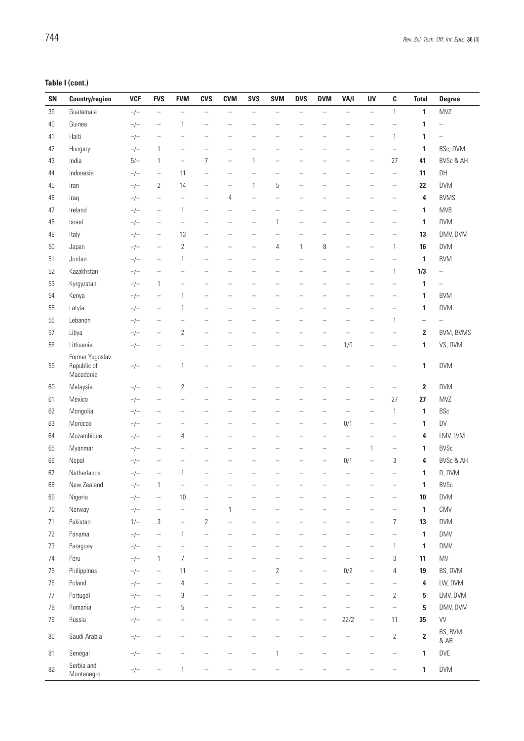## **Table I (cont.)**

| SN | <b>Country/region</b>                       | <b>VCF</b> | <b>FVS</b>                        | <b>FVM</b>               | <b>CVS</b>               | <b>CVM</b>               | <b>SVS</b>               | <b>SVM</b>               | <b>DVS</b>               | <b>DVM</b>               | VA/I                     | UV                                | C                        | <b>Total</b>             | <b>Degree</b>            |
|----|---------------------------------------------|------------|-----------------------------------|--------------------------|--------------------------|--------------------------|--------------------------|--------------------------|--------------------------|--------------------------|--------------------------|-----------------------------------|--------------------------|--------------------------|--------------------------|
| 39 | Guatemala                                   | $-/-$      | $\overline{\phantom{0}}$          | $\overline{\phantom{0}}$ | $\equiv$                 | $\overline{\phantom{0}}$ | $\overline{\phantom{0}}$ | $\overline{\phantom{0}}$ | $\overline{\phantom{0}}$ |                          | $\overline{\phantom{0}}$ | $\overline{\phantom{0}}$          | $\mathbf{1}$             | 1                        | MVZ                      |
| 40 | Guinea                                      | $-/-$      | $\qquad \qquad -$                 | 1                        | L.                       |                          |                          |                          |                          |                          |                          | -                                 |                          | 1                        |                          |
| 41 | Haiti                                       | $-/-$      | $\overline{\phantom{0}}$          |                          |                          |                          |                          |                          |                          |                          |                          | -                                 | 1                        | 1                        |                          |
| 42 | Hungary                                     | $-/-$      | $\mathbf{1}$                      | $\overline{\phantom{0}}$ | $\overline{\phantom{0}}$ | $\overline{\phantom{0}}$ |                          |                          |                          |                          |                          | $\overline{\phantom{0}}$          | $\overline{\phantom{0}}$ | 1                        | BSc, DVM                 |
| 43 | India                                       | $5/-$      | $\mathbf{1}$                      | $\qquad \qquad -$        | 7                        | $\qquad \qquad -$        | $\mathbf{1}$             | $\overline{\phantom{0}}$ |                          |                          |                          |                                   | 27                       | 41                       | <b>BVSc &amp; AH</b>     |
| 44 | Indonesia                                   | $-/-$      | $\qquad \qquad -$                 | 11                       | $\overline{\phantom{0}}$ | $\overline{\phantom{0}}$ | ÷                        | ÷                        |                          |                          |                          |                                   | $\overline{\phantom{0}}$ | 11                       | DH                       |
| 45 | Iran                                        | $-/-$      | $\overline{2}$                    | 14                       | -                        | $\qquad \qquad -$        | $\mathbf{1}$             | 5                        | $\qquad \qquad -$        |                          |                          | -                                 | $\qquad \qquad -$        | 22                       | <b>DVM</b>               |
| 46 | Iraq                                        | $-/-$      | $\qquad \qquad -$                 | $\qquad \qquad -$        | $\overline{\phantom{0}}$ | 4                        | $\qquad \qquad -$        | $\qquad \qquad -$        | L.                       | Ē,                       | L.                       | L,                                | $\qquad \qquad -$        | 4                        | <b>BVMS</b>              |
| 47 | Ireland                                     | $-/-$      | $\qquad \qquad -$                 | $\mathbf{1}$             | L,                       | ÷                        | ÷                        |                          |                          |                          |                          |                                   | ÷                        | 1                        | <b>MVB</b>               |
| 48 | Israel                                      | $-/-$      | $\qquad \qquad -$                 | $\qquad \qquad -$        | -                        | $\overline{\phantom{0}}$ | $\overline{\phantom{0}}$ | $\mathbf{1}$             | $\qquad \qquad -$        | -                        |                          | -                                 | $\qquad \qquad -$        | 1                        | <b>DVM</b>               |
| 49 | Italy                                       | $-/-$      | $\qquad \qquad -$                 | 13                       | $\overline{\phantom{0}}$ | ÷                        | ÷                        | L.                       |                          |                          |                          | ÷                                 | $\overline{\phantom{0}}$ | 13                       | DMV, DVM                 |
| 50 | Japan                                       | $-/-$      | $\qquad \qquad -$                 | $\overline{2}$           | Ē,                       |                          |                          | 4                        | $\mathbf{1}$             | 8                        |                          |                                   | $\mathbf{1}$             | 16                       | <b>DVM</b>               |
| 51 | Jordan                                      | $-/-$      | $\qquad \qquad -$                 | $\mathbf{1}$             | -                        | $\overline{\phantom{0}}$ | $\overline{\phantom{a}}$ | $\overline{\phantom{0}}$ | $\overline{\phantom{0}}$ |                          | $\overline{\phantom{0}}$ | $\overline{\phantom{0}}$          | $\overline{\phantom{0}}$ | 1                        | <b>BVM</b>               |
| 52 | Kazakhstan                                  | $-/-$      | $\qquad \qquad -$                 |                          | $\overline{\phantom{0}}$ |                          | $\overline{\phantom{0}}$ |                          |                          | $\overline{\phantom{0}}$ |                          | $\overline{\phantom{0}}$          | 1                        | 1/3                      | $\overline{\phantom{0}}$ |
| 53 | Kyrgyzstan                                  | $-/-$      | $\mathbf{1}$                      | Ē,                       |                          |                          |                          |                          |                          |                          |                          |                                   |                          | 1                        | $\overline{\phantom{0}}$ |
| 54 | Kenya                                       | $-/-$      | $\qquad \qquad -$                 | $\mathbf{1}$             | L.                       | $\overline{\phantom{a}}$ | $\overline{\phantom{a}}$ | $\overline{\phantom{0}}$ | $\overline{\phantom{0}}$ | -                        | $\overline{\phantom{0}}$ | $\overline{\phantom{0}}$          | -                        | 1                        | <b>BVM</b>               |
| 55 | Latvia                                      | $-/-$      | $\qquad \qquad -$                 | $\mathbf{1}$             | -                        |                          |                          |                          |                          |                          |                          | -                                 |                          | 1                        | <b>DVM</b>               |
| 56 | Lebanon                                     | $-/-$      | $\qquad \qquad -$                 |                          |                          |                          |                          |                          |                          |                          |                          |                                   | $\mathbf{1}$             | $\overline{\phantom{0}}$ |                          |
| 57 | Libya                                       | $-/-$      | $\qquad \qquad -$                 | $\sqrt{2}$               | L.                       | -                        |                          |                          | $\overline{\phantom{0}}$ | $\overline{\phantom{0}}$ |                          |                                   |                          | 2                        | BVM, BVMS                |
| 58 | Lithuania                                   | $-/-$      | $\qquad \qquad -$                 |                          | -                        | ÷                        | $\overline{\phantom{a}}$ | $\overline{\phantom{0}}$ | $\qquad \qquad -$        | $\qquad \qquad -$        | 1/0                      | $\overline{\phantom{0}}$          | $\overline{\phantom{0}}$ | 1                        | VS, DVM                  |
| 59 | Former Yugoslav<br>Republic of<br>Macedonia | $-/-$      | $\qquad \qquad -$                 | $\mathbf{1}$             |                          |                          |                          |                          |                          |                          |                          |                                   |                          | 1                        | <b>DVM</b>               |
| 60 | Malaysia                                    | $-/-$      | $\qquad \qquad -$                 | $\overline{2}$           |                          |                          |                          |                          |                          |                          |                          |                                   |                          | $\overline{\mathbf{2}}$  | <b>DVM</b>               |
| 61 | Mexico                                      | $-/-$      | $\overline{\phantom{0}}$          |                          |                          |                          |                          |                          |                          |                          |                          | -                                 | 27                       | 27                       | <b>MVZ</b>               |
| 62 | Mongolia                                    | $-/-$      | $\qquad \qquad -$                 | $\overline{\phantom{0}}$ | -                        | $\overline{\phantom{0}}$ | $\overline{\phantom{0}}$ | $\overline{\phantom{0}}$ | $\overline{\phantom{0}}$ | $\overline{\phantom{0}}$ |                          | $\overline{\phantom{0}}$          | 1                        | 1                        | <b>BSc</b>               |
| 63 | Morocco                                     | $-/-$      | $\overbrace{\phantom{1232211}}$   | Ē.                       | -                        |                          |                          |                          | $\overline{\phantom{0}}$ | $\qquad \qquad -$        | 0/1                      |                                   | $\overline{\phantom{0}}$ | 1                        | DV                       |
| 64 | Mozambique                                  | $-/-$      | $\qquad \qquad -$                 | 4                        | ÷                        |                          |                          |                          |                          | $\equiv$                 | $\overline{\phantom{0}}$ | $\overline{\phantom{0}}$          | $\overline{\phantom{a}}$ | 4                        | LMV, LVM                 |
| 65 | Myanmar                                     | $-/-$      | -                                 |                          |                          |                          |                          |                          |                          |                          | $\qquad \qquad -$        | 1                                 | $\qquad \qquad -$        | 1                        | <b>BVSc</b>              |
| 66 | Nepal                                       | $-/-$      | $\qquad \qquad -$                 | -                        | -                        | -                        | -                        | $\overline{\phantom{0}}$ | $\overline{\phantom{0}}$ | $\qquad \qquad -$        | 0/1                      | $\hspace{0.1in} - \hspace{0.1in}$ | 3                        | 4                        | <b>BVSc &amp; AH</b>     |
| 67 | Netherlands                                 | $-/-$      | $\overline{\phantom{a}}$          | 1                        |                          |                          |                          |                          |                          |                          |                          |                                   |                          | 1                        | D, DVM                   |
| 68 | New Zealand                                 | $-/-$      | $\mathbf{1}$                      | <sup>-</sup>             | -                        |                          |                          |                          |                          |                          | -                        | -                                 | -                        | 1                        | <b>BVSc</b>              |
| 69 | Nigeria                                     | $-/-$      | $\hspace{1.0cm} - \hspace{1.0cm}$ | 10                       | $\overline{\phantom{0}}$ |                          |                          |                          |                          |                          |                          |                                   | $\overline{\phantom{0}}$ | 10                       | <b>DVM</b>               |
| 70 | Norway                                      | $-/-$      | $\qquad \qquad -$                 | $\qquad \qquad -$        | $\qquad \qquad -$        | $\mathbf{1}$             | ÷                        | $\overline{\phantom{0}}$ |                          |                          |                          | L,                                | $\overline{\phantom{0}}$ | 1                        | CMV                      |
| 71 | Pakistan                                    | $1/-$      | $\,3$                             | $\overline{\phantom{0}}$ | $\overline{2}$           | $\overline{\phantom{0}}$ | $\qquad \qquad -$        | $\qquad \qquad -$        | $\qquad \qquad -$        | $\qquad \qquad -$        | $\qquad \qquad -$        | $\overline{\phantom{0}}$          | $\overline{\mathcal{I}}$ | 13                       | <b>DVM</b>               |
| 72 | Panama                                      | $-/-$      | $\overline{\phantom{a}}$          | $\mathbf{1}$             | $\qquad \qquad -$        | $\overline{\phantom{0}}$ | $\overline{\phantom{0}}$ | $\qquad \qquad -$        | $\qquad \qquad -$        | $\qquad \qquad -$        |                          | $\overline{\phantom{0}}$          | $\qquad \qquad -$        | 1                        | <b>DMV</b>               |
| 73 | Paraguay                                    | $-/-$      | $\qquad \qquad -$                 | $\qquad \qquad -$        | $\overline{\phantom{0}}$ | ÷                        | ÷                        | $\qquad \qquad -$        | $\qquad \qquad -$        | $\overline{\phantom{0}}$ | L.                       | $\overline{\phantom{0}}$          | $\mathbf{1}$             | 1                        | <b>DMV</b>               |
| 74 | Peru                                        | $-/-$      | $\mathbf{1}$                      | $\overline{7}$           | $\overline{\phantom{0}}$ | ÷                        | ÷                        | ÷                        | L.                       | $\overline{\phantom{0}}$ | L.                       | L,                                | $\sqrt{3}$               | 11                       | MV                       |
| 75 | Philippines                                 | $-/-$      | $\overline{\phantom{a}}$          | 11                       | $\qquad \qquad -$        | $\qquad \qquad -$        | $\qquad \qquad -$        | $\overline{2}$           | $\overline{\phantom{0}}$ | $\qquad \qquad -$        | 0/2                      | $\qquad \qquad -$                 | $\overline{4}$           | 19                       | BS, DVM                  |
| 76 | Poland                                      | $-/-$      | $\overline{\phantom{a}}$          | $\sqrt{4}$               | $\qquad \qquad -$        | $\overline{\phantom{0}}$ | $\qquad \qquad -$        | $\qquad \qquad -$        | $\overline{\phantom{0}}$ | $\qquad \qquad -$        | $\equiv$                 | $\hspace{0.1in} - \hspace{0.1in}$ | $\qquad \qquad -$        | 4                        | LW, DVM                  |
| 77 | Portugal                                    | $-/-$      | $\overline{\phantom{0}}$          | 3                        | $\overline{\phantom{0}}$ | $\overline{\phantom{0}}$ | $\overline{\phantom{0}}$ | $\equiv$                 | $\equiv$                 | $\equiv$                 | $\qquad \qquad -$        | $\overline{\phantom{0}}$          | $\sqrt{2}$               | 5                        | LMV, DVM                 |
| 78 | Romania                                     | $-/-$      | $\overline{\phantom{a}}$          | 5                        | $\qquad \qquad -$        | $\qquad \qquad -$        | $\overline{\phantom{0}}$ | $\overline{\phantom{0}}$ | $\overline{\phantom{0}}$ | $\qquad \qquad -$        | $\qquad \qquad -$        | $\overline{\phantom{a}}$          | $\qquad \qquad -$        | 5                        | DMV, DVM                 |
| 79 | Russia                                      | $-/-$      | $\qquad \qquad -$                 | $\overline{\phantom{0}}$ | L,                       |                          |                          | L.                       | L,                       | $\qquad \qquad -$        | 22/2                     | $\qquad \qquad -$                 | 11                       | 35                       | VV                       |
| 80 | Saudi Arabia                                | $-/-$      | $\overline{\phantom{0}}$          |                          |                          |                          |                          |                          |                          |                          | $\overline{\phantom{0}}$ | $\overline{\phantom{0}}$          | $\sqrt{2}$               | $\overline{\mathbf{2}}$  | BS, BVM<br>& AR          |
| 81 | Senegal                                     | $-/-$      | $\overline{\phantom{0}}$          |                          |                          |                          |                          | $\mathbf{1}$             |                          |                          |                          |                                   | $\overline{\phantom{0}}$ | 1                        | DVE                      |
| 82 | Serbia and<br>Montenegro                    | $-/-$      | $\qquad \qquad -$                 | $\mathbf{1}$             | -                        |                          |                          |                          |                          |                          |                          |                                   |                          | 1                        | <b>DVM</b>               |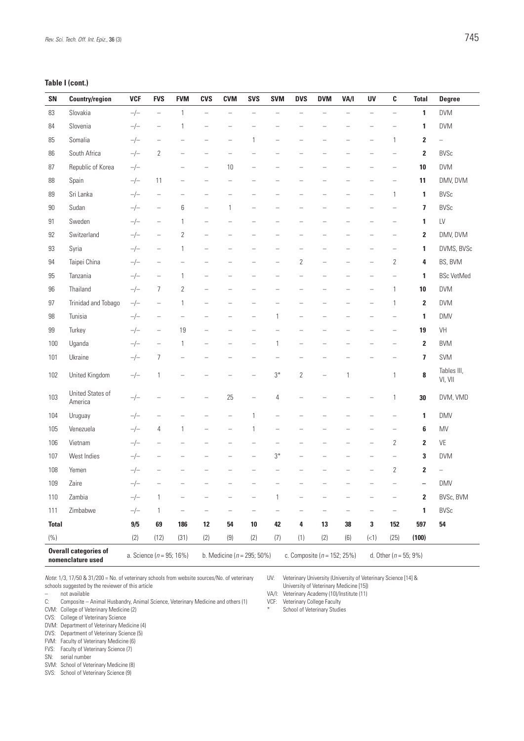### **Table I (cont.)**

| SN           | <b>Country/region</b>                             | <b>VCF</b> | <b>FVS</b>                   | <b>FVM</b>               | <b>CVS</b>               | <b>CVM</b>                     | <b>SVS</b>               | <b>SVM</b>               | <b>DVS</b>               | <b>DVM</b>                      | VA/I                     | UV                       | C                         | <b>Total</b>            | <b>Degree</b>            |
|--------------|---------------------------------------------------|------------|------------------------------|--------------------------|--------------------------|--------------------------------|--------------------------|--------------------------|--------------------------|---------------------------------|--------------------------|--------------------------|---------------------------|-------------------------|--------------------------|
| 83           | Slovakia                                          | $-/-$      | $\overline{\phantom{a}}$     | $\mathbf{1}$             | $\qquad \qquad -$        | $\overline{\phantom{0}}$       | $\equiv$                 | $\overline{\phantom{0}}$ | $\overline{\phantom{0}}$ | Ē.                              | $\overline{\phantom{0}}$ | $\qquad \qquad -$        | $\qquad \qquad -$         | 1                       | <b>DVM</b>               |
| 84           | Slovenia                                          | $-/-$      | $\qquad \qquad -$            | 1                        | $\overline{\phantom{0}}$ |                                |                          |                          |                          |                                 |                          |                          |                           | 1                       | <b>DVM</b>               |
| 85           | Somalia                                           | $-/-$      | $\overline{\phantom{a}}$     |                          |                          |                                | 1                        |                          |                          |                                 |                          | -                        | 1                         | $\overline{\mathbf{2}}$ | $\overline{\phantom{0}}$ |
| 86           | South Africa                                      | $-/-$      | $\overline{2}$               | $\overline{\phantom{0}}$ | $\qquad \qquad -$        |                                |                          |                          |                          |                                 |                          |                          | $\overline{\phantom{0}}$  | $\overline{\mathbf{2}}$ | <b>BVSc</b>              |
| 87           | Republic of Korea                                 | $-/-$      |                              | $\overline{\phantom{0}}$ | $\overline{\phantom{0}}$ | 10                             | L,                       |                          |                          |                                 |                          |                          | $\overline{\phantom{0}}$  | 10                      | <b>DVM</b>               |
| 88           | Spain                                             | $-/-$      | 11                           | $\qquad \qquad -$        | $\overline{\phantom{0}}$ | $\overline{\phantom{0}}$       | $\overline{\phantom{0}}$ |                          | L.                       | -                               | -                        | $\overline{\phantom{0}}$ | $\overline{\phantom{0}}$  | 11                      | DMV, DVM                 |
| 89           | Sri Lanka                                         | $-/-$      | $\overline{\phantom{0}}$     | $\overline{\phantom{0}}$ |                          |                                |                          |                          |                          |                                 |                          |                          | $\mathbf{1}$              | 1                       | <b>BVSc</b>              |
| 90           | Sudan                                             | $-/-$      | $\qquad \qquad -$            | 6                        | $\qquad \qquad -$        | 1                              | $\overline{\phantom{0}}$ |                          |                          |                                 |                          |                          |                           | $\overline{\mathbf{z}}$ | <b>BVSc</b>              |
| 91           | Sweden                                            | $-/-$      | $\qquad \qquad -$            | 1                        | $\qquad \qquad -$        | -                              | $\overline{\phantom{0}}$ |                          | -                        | -                               | -                        |                          | $\overline{\phantom{0}}$  | 1                       | LV                       |
| 92           | Switzerland                                       | $-/-$      | $\qquad \qquad -$            | $\overline{2}$           | $\overline{\phantom{0}}$ |                                |                          |                          |                          |                                 |                          |                          | $\overline{\phantom{0}}$  | $\mathbf{2}$            | DMV, DVM                 |
| 93           | Syria                                             | $-/-$      | $\qquad \qquad -$            | 1                        | $\qquad \qquad -$        |                                |                          |                          |                          |                                 |                          |                          | $\overline{\phantom{0}}$  | 1                       | DVMS, BVSc               |
| 94           | Taipei China                                      | $-/-$      |                              | $\overline{\phantom{0}}$ |                          |                                |                          |                          | 2                        | $\overline{\phantom{0}}$        |                          |                          | 2                         | 4                       | BS, BVM                  |
| 95           | Tanzania                                          | $-/-$      | $\qquad \qquad -$            | 1                        | $\overline{\phantom{0}}$ | $\overline{\phantom{a}}$       | $\overline{\phantom{0}}$ | $\overline{\phantom{a}}$ | L,                       | ÷,                              | L,                       | $\overline{\phantom{a}}$ | $\equiv$                  | 1                       | <b>BSc VetMed</b>        |
| 96           | Thailand                                          | $-/-$      | $\overline{7}$               | $\overline{2}$           |                          |                                |                          |                          |                          |                                 |                          |                          | 1                         | 10                      | <b>DVM</b>               |
| 97           | Trinidad and Tobago                               | $-/-$      | $\qquad \qquad -$            | 1                        | $\qquad \qquad -$        |                                |                          |                          |                          |                                 |                          |                          | 1                         | $\overline{\mathbf{2}}$ | <b>DVM</b>               |
| 98           | Tunisia                                           | $-/-$      | $\qquad \qquad -$            | $\qquad \qquad -$        | $\overline{\phantom{0}}$ | $\overline{\phantom{0}}$       | $\overline{\phantom{0}}$ | 1                        | $\overline{\phantom{0}}$ | -                               | -                        | $\overline{\phantom{0}}$ | $\qquad \qquad -$         | 1                       | <b>DMV</b>               |
| 99           | Turkey                                            | $-/-$      | $\qquad \qquad -$            | 19                       | $\overline{\phantom{0}}$ |                                | $\equiv$                 |                          | L.                       | -                               | -                        |                          | $\overline{\phantom{0}}$  | 19                      | VH                       |
| 100          | Uganda                                            | $-/-$      | $\overline{\phantom{a}}$     | 1                        | $\qquad \qquad -$        |                                | $\overline{\phantom{0}}$ | 1                        | -                        |                                 |                          |                          | ۰                         | $\overline{\mathbf{2}}$ | <b>BVM</b>               |
| 101          | Ukraine                                           | $-/-$      | $\overline{7}$               | $\overline{\phantom{0}}$ |                          |                                |                          |                          | -                        |                                 | -                        |                          |                           | 7                       | SVM                      |
| 102          | United Kingdom                                    | $-/-$      | $\mathbf{1}$                 | $\overline{\phantom{0}}$ |                          |                                |                          | $3^*$                    | $\overline{2}$           | $\overline{\phantom{0}}$        | 1                        |                          | $\mathbf{1}$              | 8                       | Tables III,<br>VI, VII   |
| 103          | United States of<br>America                       | $-/-$      |                              |                          |                          | 25                             | $\overline{\phantom{0}}$ | 4                        | -                        |                                 |                          |                          | 1                         | 30                      | DVM, VMD                 |
| 104          | Uruguay                                           | $-/-$      |                              |                          |                          |                                | 1                        |                          |                          |                                 |                          |                          |                           | 1                       | <b>DMV</b>               |
| 105          | Venezuela                                         | $-/-$      | 4                            | 1                        | $\overline{\phantom{0}}$ | $\overline{\phantom{0}}$       | 1                        | $\overline{\phantom{0}}$ | -                        | -                               | -                        | -                        | $\overline{\phantom{0}}$  | 6                       | <b>MV</b>                |
| 106          | Vietnam                                           | $-/-$      |                              |                          |                          |                                |                          |                          |                          |                                 |                          | $\overline{\phantom{0}}$ | $\mathbf{2}$              | $\overline{\mathbf{2}}$ | VE                       |
| 107          | West Indies                                       | $-/-$      | $\qquad \qquad -$            | -                        |                          |                                | $\overline{\phantom{0}}$ | $3*$                     | $\overline{\phantom{0}}$ |                                 |                          |                          | $\qquad \qquad -$         | 3                       | <b>DVM</b>               |
| 108          | Yemen                                             | $-/-$      |                              |                          |                          |                                |                          |                          |                          |                                 |                          |                          | $\sqrt{2}$                | $\overline{\mathbf{2}}$ | $\overline{\phantom{0}}$ |
| 109          | Zaire                                             | $-/-$      |                              |                          |                          |                                |                          |                          |                          |                                 |                          | $\equiv$                 | $\overline{\phantom{m}}$  | $\qquad \qquad -$       | <b>DMV</b>               |
| 110          | Zambia                                            | $-/-$      | $\mathbf{1}$                 |                          |                          |                                |                          | 1                        |                          |                                 |                          |                          | $\qquad \qquad -$         | 2                       | BVSc, BVM                |
| 111          | Zimbabwe                                          | $-/-$      | $\mathbf{1}$                 | $\overline{\phantom{0}}$ | $\qquad \qquad -$        | $\overline{\phantom{0}}$       | $\overline{\phantom{0}}$ | $\overline{\phantom{0}}$ | $\overline{\phantom{0}}$ | $\overline{\phantom{0}}$        | $\overline{\phantom{0}}$ |                          | $\qquad \qquad -$         | 1                       | <b>BVSc</b>              |
| <b>Total</b> |                                                   | 9/5        | 69                           | 186                      | 12                       | 54                             | 10                       | 42                       | 4                        | 13                              | 38                       | 3                        | 152                       | 597                     | 54                       |
| (% )         |                                                   | (2)        | (12)                         | (31)                     | (2)                      | (9)                            | (2)                      | (7)                      | (1)                      | (2)                             | (6)                      | (<1)                     | (25)                      | (100)                   |                          |
|              | <b>Overall categories of</b><br>nomenclature used |            | a. Science ( $n = 95$ ; 16%) |                          |                          | b. Medicine ( $n = 295$ ; 50%) |                          |                          |                          | c. Composite ( $n = 152$ ; 25%) |                          |                          | d. Other ( $n = 55$ ; 9%) |                         |                          |

*Note*: 1/3, 17/50 & 31/200 = No. of veterinary schools from website sources/No. of veterinary schools suggested by the reviewer of this article

- $\frac{1}{2}$  not available<br> $\frac{1}{2}$  composite  $\frac{1}{2}$
- Composite Animal Husbandry, Animal Science, Veterinary Medicine and others (1)
- CVM: College of Veterinary Medicine (2)
- CVS: College of Veterinary Science
- DVM: Department of Veterinary Medicine (4)
- DVS: Department of Veterinary Science (5)
- FVM: Faculty of Veterinary Medicine (6)
- FVS: Faculty of Veterinary Science (7)
- SN: serial number
- SVM: School of Veterinary Medicine (8)
- SVS: School of Veterinary Science (9)

UV: Veterinary University (University of Veterinary Science [14] &

- University of Veterinary Medicine [15])
- VA/I: Veterinary Academy (10)/Institute (11)
- VCF: Veterinary College Faculty<br>
\* School of Veterinary Studies
- School of Veterinary Studies
-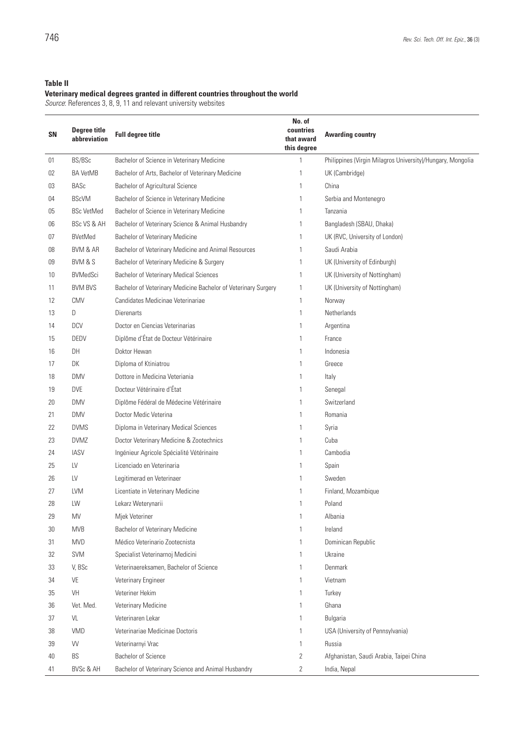## **Table II**

#### **Veterinary medical degrees granted in different countries throughout the world**

*Source*: References 3, 8, 9, 11 and relevant university websites

| <b>SN</b> | <b>Degree title</b><br>abbreviation | <b>Full degree title</b>                                       | No. of<br>countries<br>that award<br>this degree | <b>Awarding country</b>                                    |
|-----------|-------------------------------------|----------------------------------------------------------------|--------------------------------------------------|------------------------------------------------------------|
| 01        | BS/BSc                              | Bachelor of Science in Veterinary Medicine                     | 1                                                | Philippines (Virgin Milagros University)/Hungary, Mongolia |
| 02        | <b>BA VetMB</b>                     | Bachelor of Arts, Bachelor of Veterinary Medicine              | 1                                                | UK (Cambridge)                                             |
| 03        | <b>BASc</b>                         | Bachelor of Agricultural Science                               | 1                                                | China                                                      |
| 04        | <b>BScVM</b>                        | Bachelor of Science in Veterinary Medicine                     | 1                                                | Serbia and Montenegro                                      |
| 05        | <b>BSc VetMed</b>                   | Bachelor of Science in Veterinary Medicine                     |                                                  | Tanzania                                                   |
| 06        | BSc VS & AH                         | Bachelor of Veterinary Science & Animal Husbandry              |                                                  | Bangladesh (SBAU, Dhaka)                                   |
| 07        | <b>BVetMed</b>                      | <b>Bachelor of Veterinary Medicine</b>                         | 1                                                | UK (RVC, University of London)                             |
| 08        | BVM & AR                            | Bachelor of Veterinary Medicine and Animal Resources           | 1                                                | Saudi Arabia                                               |
| 09        | BVM & S                             | Bachelor of Veterinary Medicine & Surgery                      | 1                                                | UK (University of Edinburgh)                               |
| 10        | <b>BVMedSci</b>                     | <b>Bachelor of Veterinary Medical Sciences</b>                 | 1                                                | UK (University of Nottingham)                              |
| 11        | <b>BVM BVS</b>                      | Bachelor of Veterinary Medicine Bachelor of Veterinary Surgery | 1                                                | UK (University of Nottingham)                              |
| 12        | <b>CMV</b>                          | Candidates Medicinae Veterinariae                              | 1                                                | Norway                                                     |
| 13        | D                                   | <b>Dierenarts</b>                                              | 1                                                | Netherlands                                                |
| 14        | <b>DCV</b>                          | Doctor en Ciencias Veterinarias                                | 1                                                | Argentina                                                  |
| 15        | <b>DEDV</b>                         | Diplôme d'État de Docteur Vétérinaire                          | 1                                                | France                                                     |
| 16        | DH                                  | Doktor Hewan                                                   | 1                                                | Indonesia                                                  |
| 17        | DK                                  | Diploma of Ktiniatrou                                          | 1                                                | Greece                                                     |
| 18        | <b>DMV</b>                          | Dottore in Medicina Veteriania                                 | 1                                                | Italy                                                      |
| 19        | <b>DVE</b>                          | Docteur Vétérinaire d'État                                     | 1                                                | Senegal                                                    |
| 20        | <b>DMV</b>                          | Diplôme Fédéral de Médecine Vétérinaire                        | 1                                                | Switzerland                                                |
| 21        | <b>DMV</b>                          | Doctor Medic Veterina                                          | 1                                                | Romania                                                    |
| 22        | <b>DVMS</b>                         | Diploma in Veterinary Medical Sciences                         | 1                                                | Syria                                                      |
| 23        | <b>DVMZ</b>                         | Doctor Veterinary Medicine & Zootechnics                       | 1                                                | Cuba                                                       |
| 24        | <b>IASV</b>                         | Ingénieur Agricole Spécialité Vétérinaire                      | 1                                                | Cambodia                                                   |
| 25        | LV                                  | Licenciado en Veterinaria                                      | 1                                                | Spain                                                      |
| 26        | LV                                  | Legitimerad en Veterinaer                                      | 1                                                | Sweden                                                     |
| 27        | <b>LVM</b>                          | Licentiate in Veterinary Medicine                              |                                                  | Finland, Mozambique                                        |
| 28        | LW                                  | Lekarz Weterynarii                                             |                                                  | Poland                                                     |
| 29        | MV                                  | Mjek Veteriner                                                 |                                                  | Albania                                                    |
| 30        | <b>MVB</b>                          | Bachelor of Veterinary Medicine                                | 1                                                | Ireland                                                    |
| 31        | <b>MVD</b>                          | Médico Veterinario Zootecnista                                 |                                                  | Dominican Republic                                         |
| 32        | <b>SVM</b>                          | Specialist Veterinarnoj Medicini                               | 1                                                | Ukraine                                                    |
| 33        | V, BSc                              | Veterinaereksamen, Bachelor of Science                         |                                                  | Denmark                                                    |
| 34        | VE                                  | Veterinary Engineer                                            | 1                                                | Vietnam                                                    |
| 35        | VH                                  | Veteriner Hekim                                                | $\mathbf{1}$                                     | Turkey                                                     |
| 36        | Vet. Med.                           | Veterinary Medicine                                            | 1                                                | Ghana                                                      |
| 37        | VL                                  | Veterinaren Lekar                                              | 1                                                | Bulgaria                                                   |
| 38        | VMD                                 | Veterinariae Medicinae Doctoris                                | 1                                                | USA (University of Pennsylvania)                           |
| 39        | VV                                  | Veterinarnyi Vrac                                              | 1                                                | Russia                                                     |
| 40        | BS                                  | <b>Bachelor of Science</b>                                     | 2                                                | Afghanistan, Saudi Arabia, Taipei China                    |
| 41        | <b>BVSc &amp; AH</b>                | Bachelor of Veterinary Science and Animal Husbandry            | 2                                                | India, Nepal                                               |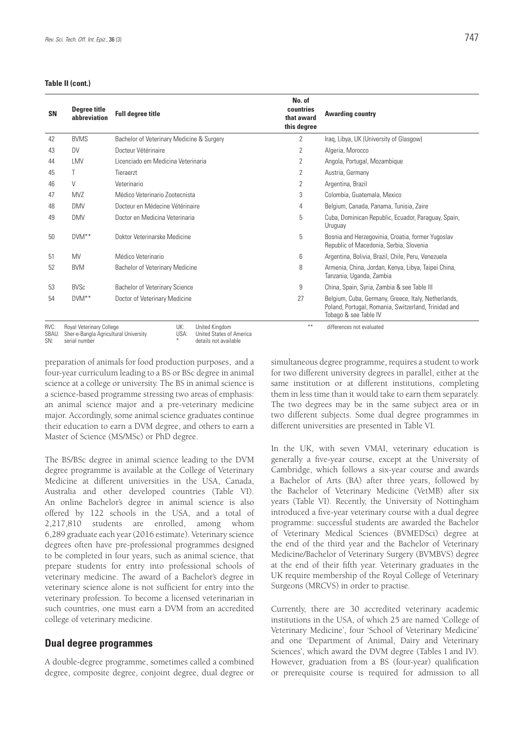#### **Table II (cont.)**

| SN            | Degree title<br>abbreviation                                             | <b>Full degree title</b>                                  | No. of<br>countries<br>that award<br>this degree | <b>Awarding country</b>                                                                                                              |
|---------------|--------------------------------------------------------------------------|-----------------------------------------------------------|--------------------------------------------------|--------------------------------------------------------------------------------------------------------------------------------------|
| 42            | <b>BVMS</b>                                                              | Bachelor of Veterinary Medicine & Surgery                 | 2                                                | Iraq, Libya, UK (University of Glasgow)                                                                                              |
| 43            | <b>DV</b>                                                                | Docteur Vétérinaire                                       | 2                                                | Algeria, Morocco                                                                                                                     |
| 44            | LMV                                                                      | Licenciado em Medicina Veterinaria                        | $\overline{2}$                                   | Angola, Portugal, Mozambique                                                                                                         |
| 45            |                                                                          | Tieraerzt                                                 | 2                                                | Austria, Germany                                                                                                                     |
| 46            | V                                                                        | Veterinario                                               | 2                                                | Argentina, Brazil                                                                                                                    |
| 47            | <b>MVZ</b>                                                               | Médico Veterinario Zootecnista                            | 3                                                | Colombia, Guatemala, Mexico                                                                                                          |
| 48            | <b>DMV</b>                                                               | Docteur en Médecine Vétérinaire                           | 4                                                | Belgium, Canada, Panama, Tunisia, Zaire                                                                                              |
| 49            | <b>DMV</b>                                                               | Doctor en Medicina Veterinaria                            | 5                                                | Cuba, Dominican Republic, Ecuador, Paraguay, Spain,<br>Uruguay                                                                       |
| 50            | $DWM^{**}$                                                               | Doktor Veterinarske Medicine                              | 5                                                | Bosnia and Herzegovinia, Croatia, former Yugoslav<br>Republic of Macedonia, Serbia, Slovenia                                         |
| 51            | <b>MV</b>                                                                | Médico Veterinario                                        | 6                                                | Argentina, Bolivia, Brazil, Chile, Peru, Venezuela                                                                                   |
| 52            | <b>BVM</b>                                                               | Bachelor of Veterinary Medicine                           | 8                                                | Armenia, China, Jordan, Kenya, Libya, Taipei China,<br>Tanzania, Uganda, Zambia                                                      |
| 53            | <b>BVSc</b>                                                              | <b>Bachelor of Veterinary Science</b>                     | 9                                                | China, Spain, Syria, Zambia & see Table III                                                                                          |
| 54            | $DWM^{**}$                                                               | Doctor of Veterinary Medicine                             | 27                                               | Belgium, Cuba, Germany, Greece, Italy, Netherlands,<br>Poland, Portugal, Romania, Switzerland, Trinidad and<br>Tobago & see Table IV |
| RVC:<br>SBAU: | <b>Royal Veterinary College</b><br>Sher-e-Bangla Agricultural University | UK:<br>United Kingdom<br>United States of America<br>USA: | **                                               | differences not evaluated                                                                                                            |

SN: serial number

USA: United States of America

\* details not available

preparation of animals for food production purposes, and a four-year curriculum leading to a BS or BSc degree in animal science at a college or university. The BS in animal science is a science-based programme stressing two areas of emphasis: an animal science major and a pre-veterinary medicine major. Accordingly, some animal science graduates continue their education to earn a DVM degree, and others to earn a Master of Science (MS/MSc) or PhD degree.

The BS/BSc degree in animal science leading to the DVM degree programme is available at the College of Veterinary Medicine at different universities in the USA, Canada, Australia and other developed countries (Table VI). An online Bachelor's degree in animal science is also offered by 122 schools in the USA, and a total of 2,217,810 students are enrolled, among whom 6,289 graduate each year (2016 estimate). Veterinary science degrees often have pre-professional programmes designed to be completed in four years, such as animal science, that prepare students for entry into professional schools of veterinary medicine. The award of a Bachelor's degree in veterinary science alone is not sufficient for entry into the veterinary profession. To become a licensed veterinarian in such countries, one must earn a DVM from an accredited college of veterinary medicine.

### **Dual degree programmes**

A double-degree programme, sometimes called a combined degree, composite degree, conjoint degree, dual degree or simultaneous degree programme, requires a student to work for two different university degrees in parallel, either at the same institution or at different institutions, completing them in less time than it would take to earn them separately. The two degrees may be in the same subject area or in two different subjects. Some dual degree programmes in different universities are presented in Table VI.

In the UK, with seven VMAI, veterinary education is generally a five-year course, except at the University of Cambridge, which follows a six-year course and awards a Bachelor of Arts (BA) after three years, followed by the Bachelor of Veterinary Medicine (VetMB) after six years (Table VI). Recently, the University of Nottingham introduced a five-year veterinary course with a dual degree programme: successful students are awarded the Bachelor of Veterinary Medical Sciences (BVMEDSci) degree at the end of the third year and the Bachelor of Veterinary Medicine/Bachelor of Veterinary Surgery (BVMBVS) degree at the end of their fifth year. Veterinary graduates in the UK require membership of the Royal College of Veterinary Surgeons (MRCVS) in order to practise.

Currently, there are 30 accredited veterinary academic institutions in the USA, of which 25 are named 'College of Veterinary Medicine', four 'School of Veterinary Medicine' and one 'Department of Animal, Dairy and Veterinary Sciences', which award the DVM degree (Tables I and IV). However, graduation from a BS (four-year) qualification or prerequisite course is required for admission to all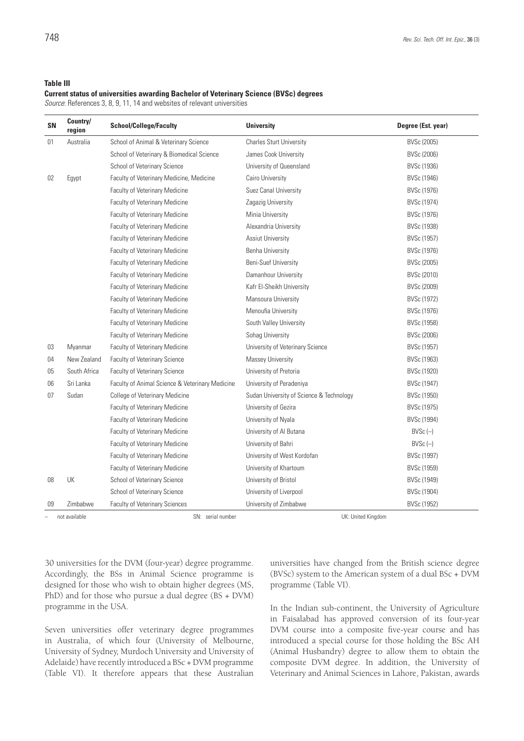#### **Table III**

#### **Current status of universities awarding Bachelor of Veterinary Science (BVSc) degrees**

*Source*: References 3, 8, 9, 11, 14 and websites of relevant universities

| <b>SN</b> | Country/<br>region | <b>School/College/Faculty</b>                   | <b>University</b>                        | Degree (Est. year) |
|-----------|--------------------|-------------------------------------------------|------------------------------------------|--------------------|
| 01        | Australia          | School of Animal & Veterinary Science           | <b>Charles Sturt University</b>          | BVSc (2005)        |
|           |                    | School of Veterinary & Biomedical Science       | James Cook University                    | BVSc (2006)        |
|           |                    | School of Veterinary Science                    | University of Queensland                 | BVSc (1936)        |
| 02        | Egypt              | Faculty of Veterinary Medicine, Medicine        | Cairo University                         | BVSc (1946)        |
|           |                    | Faculty of Veterinary Medicine                  | Suez Canal University                    | BVSc (1976)        |
|           |                    | <b>Faculty of Veterinary Medicine</b>           | Zagazig University                       | BVSc (1974)        |
|           |                    | <b>Faculty of Veterinary Medicine</b>           | Minia University                         | BVSc (1976)        |
|           |                    | Faculty of Veterinary Medicine                  | Alexandria University                    | BVSc (1938)        |
|           |                    | Faculty of Veterinary Medicine                  | <b>Assiut University</b>                 | BVSc (1957)        |
|           |                    | <b>Faculty of Veterinary Medicine</b>           | Benha University                         | BVSc (1976)        |
|           |                    | Faculty of Veterinary Medicine                  | <b>Beni-Suef University</b>              | BVSc (2005)        |
|           |                    | <b>Faculty of Veterinary Medicine</b>           | Damanhour University                     | BVSc (2010)        |
|           |                    | <b>Faculty of Veterinary Medicine</b>           | Kafr El-Sheikh University                | BVSc (2009)        |
|           |                    | <b>Faculty of Veterinary Medicine</b>           | Mansoura University                      | BVSc (1972)        |
|           |                    | <b>Faculty of Veterinary Medicine</b>           | Menoufia University                      | BVSc (1976)        |
|           |                    | Faculty of Veterinary Medicine                  | South Valley University                  | BVSc (1958)        |
|           |                    | Faculty of Veterinary Medicine                  | Sohag University                         | BVSc (2006)        |
| 03        | Myanmar            | Faculty of Veterinary Medicine                  | University of Veterinary Science         | BVSc (1957)        |
| 04        | New Zealand        | Faculty of Veterinary Science                   | Massey University                        | BVSc (1963)        |
| 05        | South Africa       | <b>Faculty of Veterinary Science</b>            | University of Pretoria                   | BVSc (1920)        |
| 06        | Sri Lanka          | Faculty of Animal Science & Veterinary Medicine | University of Peradeniya                 | BVSc (1947)        |
| 07        | Sudan              | <b>College of Veterinary Medicine</b>           | Sudan University of Science & Technology | BVSc (1950)        |
|           |                    | <b>Faculty of Veterinary Medicine</b>           | University of Gezira                     | BVSc (1975)        |
|           |                    | <b>Faculty of Veterinary Medicine</b>           | University of Nyala                      | BVSc (1994)        |
|           |                    | <b>Faculty of Veterinary Medicine</b>           | University of Al Butana                  | $BVSc$ (-)         |
|           |                    | <b>Faculty of Veterinary Medicine</b>           | University of Bahri                      | $BVSc$ (-)         |
|           |                    | Faculty of Veterinary Medicine                  | University of West Kordofan              | BVSc (1997)        |
|           |                    | Faculty of Veterinary Medicine                  | University of Khartoum                   | BVSc (1959)        |
| 08        | UK                 | School of Veterinary Science                    | University of Bristol                    | BVSc (1949)        |
|           |                    | School of Veterinary Science                    | University of Liverpool                  | BVSc (1904)        |
| 09        | Zimbabwe           | Faculty of Veterinary Sciences                  | University of Zimbabwe                   | BVSc (1952)        |
|           | not available      | SN: serial number                               | UK: United Kinadom                       |                    |

30 universities for the DVM (four-year) degree programme. Accordingly, the BSs in Animal Science programme is designed for those who wish to obtain higher degrees (MS, PhD) and for those who pursue a dual degree (BS + DVM) programme in the USA.

Seven universities offer veterinary degree programmes in Australia, of which four (University of Melbourne, University of Sydney, Murdoch University and University of Adelaide) have recently introduced a BSc + DVM programme (Table VI). It therefore appears that these Australian

universities have changed from the British science degree (BVSc) system to the American system of a dual BSc + DVM programme (Table VI).

In the Indian sub-continent, the University of Agriculture in Faisalabad has approved conversion of its four-year DVM course into a composite five-year course and has introduced a special course for those holding the BSc AH (Animal Husbandry) degree to allow them to obtain the composite DVM degree. In addition, the University of Veterinary and Animal Sciences in Lahore, Pakistan, awards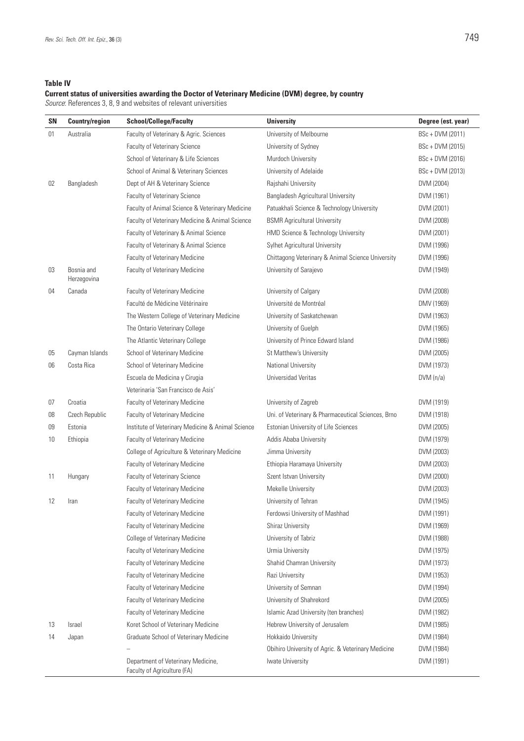**Table IV**

## **Current status of universities awarding the Doctor of Veterinary Medicine (DVM) degree, by country**

*Source*: References 3, 8, 9 and websites of relevant universities

| <b>SN</b> | <b>Country/region</b>     | <b>School/College/Faculty</b>                                     | <b>University</b>                                  | Degree (est. year) |
|-----------|---------------------------|-------------------------------------------------------------------|----------------------------------------------------|--------------------|
| 01        | Australia                 | Faculty of Veterinary & Agric. Sciences                           | University of Melbourne                            | BSc + DVM (2011)   |
|           |                           | Faculty of Veterinary Science                                     | University of Sydney                               | BSc + DVM (2015)   |
|           |                           | School of Veterinary & Life Sciences                              | Murdoch University                                 | BSc + DVM (2016)   |
|           |                           | School of Animal & Veterinary Sciences                            | University of Adelaide                             | BSc + DVM (2013)   |
| 02        | Bangladesh                | Dept of AH & Veterinary Science                                   | Rajshahi University                                | DVM (2004)         |
|           |                           | <b>Faculty of Veterinary Science</b>                              | Bangladesh Agricultural University                 | DVM (1961)         |
|           |                           | Faculty of Animal Science & Veterinary Medicine                   | Patuakhali Science & Technology University         | DVM (2001)         |
|           |                           | Faculty of Veterinary Medicine & Animal Science                   | <b>BSMR Agricultural University</b>                | DVM (2008)         |
|           |                           | Faculty of Veterinary & Animal Science                            | HMD Science & Technology University                | DVM (2001)         |
|           |                           | Faculty of Veterinary & Animal Science                            | Sylhet Agricultural University                     | DVM (1996)         |
|           |                           | <b>Faculty of Veterinary Medicine</b>                             | Chittagong Veterinary & Animal Science University  | DVM (1996)         |
| 03        | Bosnia and<br>Herzegovina | Faculty of Veterinary Medicine                                    | University of Sarajevo                             | DVM (1949)         |
| 04        | Canada                    | Faculty of Veterinary Medicine                                    | University of Calgary                              | DVM (2008)         |
|           |                           | Faculté de Médicine Vétérinaire                                   | Université de Montréal                             | DMV (1969)         |
|           |                           | The Western College of Veterinary Medicine                        | University of Saskatchewan                         | DVM (1963)         |
|           |                           | The Ontario Veterinary College                                    | University of Guelph                               | DVM (1965)         |
|           |                           | The Atlantic Veterinary College                                   | University of Prince Edward Island                 | DVM (1986)         |
| 05        | Cayman Islands            | School of Veterinary Medicine                                     | St Matthew's University                            | DVM (2005)         |
| 06        | Costa Rica                | School of Veterinary Medicine                                     | National University                                | DVM (1973)         |
|           |                           | Escuela de Medicina y Cirugia                                     | Universidad Veritas                                | DVM(n/a)           |
|           |                           | Veterinaria 'San Francisco de Asis'                               |                                                    |                    |
| 07        | Croatia                   | <b>Faculty of Veterinary Medicine</b>                             | University of Zagreb                               | DVM (1919)         |
| 08        | Czech Republic            | Faculty of Veterinary Medicine                                    | Uni. of Veterinary & Pharmaceutical Sciences, Brno | DVM (1918)         |
| 09        | Estonia                   | Institute of Veterinary Medicine & Animal Science                 | Estonian University of Life Sciences               | DVM (2005)         |
| 10        | Ethiopia                  | Faculty of Veterinary Medicine                                    | Addis Ababa University                             | DVM (1979)         |
|           |                           | College of Agriculture & Veterinary Medicine                      | Jimma University                                   | DVM (2003)         |
|           |                           | Faculty of Veterinary Medicine                                    | Ethiopia Haramaya University                       | DVM (2003)         |
| 11        | Hungary                   | Faculty of Veterinary Science                                     | Szent Istvan University                            | DVM (2000)         |
|           |                           | <b>Faculty of Veterinary Medicine</b>                             | Mekelle University                                 | DVM (2003)         |
| 12        | Iran                      | Faculty of Veterinary Medicine                                    | University of Tehran                               | DVM (1945)         |
|           |                           | <b>Faculty of Veterinary Medicine</b>                             | Ferdowsi University of Mashhad                     | DVM (1991)         |
|           |                           | <b>Faculty of Veterinary Medicine</b>                             | <b>Shiraz University</b>                           | DVM (1969)         |
|           |                           | <b>College of Veterinary Medicine</b>                             | University of Tabriz                               | DVM (1988)         |
|           |                           | <b>Faculty of Veterinary Medicine</b>                             | Urmia University                                   | DVM (1975)         |
|           |                           | Faculty of Veterinary Medicine                                    | Shahid Chamran University                          | DVM (1973)         |
|           |                           | Faculty of Veterinary Medicine                                    | Razi University                                    | DVM (1953)         |
|           |                           | <b>Faculty of Veterinary Medicine</b>                             | University of Semnan                               | DVM (1994)         |
|           |                           | Faculty of Veterinary Medicine                                    | University of Shahrekord                           | DVM (2005)         |
|           |                           | Faculty of Veterinary Medicine                                    | Islamic Azad University (ten branches)             | DVM (1982)         |
| 13        | Israel                    | Koret School of Veterinary Medicine                               | Hebrew University of Jerusalem                     | DVM (1985)         |
| 14        | Japan                     | Graduate School of Veterinary Medicine                            | Hokkaido University                                | DVM (1984)         |
|           |                           |                                                                   | Obihiro University of Agric. & Veterinary Medicine | DVM (1984)         |
|           |                           | Department of Veterinary Medicine,<br>Faculty of Agriculture (FA) | Iwate University                                   | DVM (1991)         |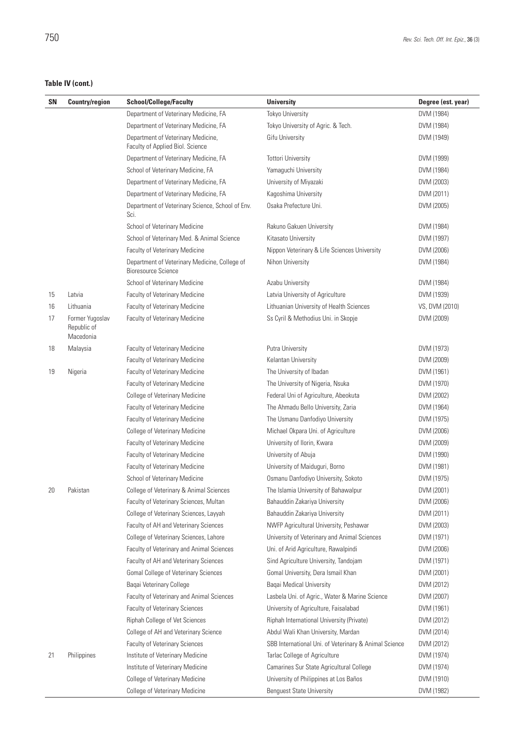## **Table IV (cont.)**

| <b>SN</b> | <b>Country/region</b>                       | <b>School/College/Faculty</b>                                               | <b>University</b>                                     | Degree (est. year) |
|-----------|---------------------------------------------|-----------------------------------------------------------------------------|-------------------------------------------------------|--------------------|
|           |                                             | Department of Veterinary Medicine, FA                                       | <b>Tokyo University</b>                               | DVM (1984)         |
|           |                                             | Department of Veterinary Medicine, FA                                       | Tokyo University of Agric. & Tech.                    | DVM (1984)         |
|           |                                             | Department of Veterinary Medicine,<br>Faculty of Applied Biol. Science      | Gifu University                                       | DVM (1949)         |
|           |                                             | Department of Veterinary Medicine, FA                                       | <b>Tottori University</b>                             | DVM (1999)         |
|           |                                             | School of Veterinary Medicine, FA                                           | Yamaguchi University                                  | DVM (1984)         |
|           |                                             | Department of Veterinary Medicine, FA                                       | University of Miyazaki                                | DVM (2003)         |
|           |                                             | Department of Veterinary Medicine, FA                                       | Kagoshima University                                  | DVM (2011)         |
|           |                                             | Department of Veterinary Science, School of Env.<br>Sci.                    | Osaka Prefecture Uni.                                 | DVM (2005)         |
|           |                                             | School of Veterinary Medicine                                               | Rakuno Gakuen University                              | DVM (1984)         |
|           |                                             | School of Veterinary Med. & Animal Science                                  | Kitasato University                                   | DVM (1997)         |
|           |                                             | <b>Faculty of Veterinary Medicine</b>                                       | Nippon Veterinary & Life Sciences University          | DVM (2006)         |
|           |                                             | Department of Veterinary Medicine, College of<br><b>Bioresource Science</b> | Nihon University                                      | DVM (1984)         |
|           |                                             | School of Veterinary Medicine                                               | Azabu University                                      | DVM (1984)         |
| 15        | Latvia                                      | Faculty of Veterinary Medicine                                              | Latvia University of Agriculture                      | DVM (1939)         |
| 16        | Lithuania                                   | Faculty of Veterinary Medicine                                              | Lithuanian University of Health Sciences              | VS, DVM (2010)     |
| 17        | Former Yugoslav<br>Republic of<br>Macedonia | Faculty of Veterinary Medicine                                              | Ss Cyril & Methodius Uni. in Skopje                   | DVM (2009)         |
| 18        | Malaysia                                    | Faculty of Veterinary Medicine                                              | Putra University                                      | DVM (1973)         |
|           |                                             | Faculty of Veterinary Medicine                                              | Kelantan University                                   | DVM (2009)         |
| 19        | Nigeria                                     | Faculty of Veterinary Medicine                                              | The University of Ibadan                              | DVM (1961)         |
|           |                                             | Faculty of Veterinary Medicine                                              | The University of Nigeria, Nsuka                      | DVM (1970)         |
|           |                                             | College of Veterinary Medicine                                              | Federal Uni of Agriculture, Abeokuta                  | DVM (2002)         |
|           |                                             | Faculty of Veterinary Medicine                                              | The Ahmadu Bello University, Zaria                    | DVM (1964)         |
|           |                                             | Faculty of Veterinary Medicine                                              | The Usmanu Danfodiyo University                       | DVM (1975)         |
|           |                                             | College of Veterinary Medicine                                              | Michael Okpara Uni. of Agriculture                    | DVM (2006)         |
|           |                                             | Faculty of Veterinary Medicine                                              | University of Ilorin, Kwara                           | DVM (2009)         |
|           |                                             | Faculty of Veterinary Medicine                                              | University of Abuja                                   | DVM (1990)         |
|           |                                             | Faculty of Veterinary Medicine                                              | University of Maiduguri, Borno                        | DVM (1981)         |
|           |                                             | School of Veterinary Medicine                                               | Osmanu Danfodiyo University, Sokoto                   | DVM (1975)         |
| 20        | Pakistan                                    | College of Veterinary & Animal Sciences                                     | The Islamia University of Bahawalpur                  | DVM (2001)         |
|           |                                             | Faculty of Veterinary Sciences, Multan                                      | Bahauddin Zakariya University                         | DVM (2006)         |
|           |                                             | College of Veterinary Sciences, Layyah                                      | Bahauddin Zakariya University                         | DVM (2011)         |
|           |                                             | Faculty of AH and Veterinary Sciences                                       | NWFP Agricultural University, Peshawar                | DVM (2003)         |
|           |                                             | College of Veterinary Sciences, Lahore                                      | University of Veterinary and Animal Sciences          | DVM (1971)         |
|           |                                             | Faculty of Veterinary and Animal Sciences                                   | Uni. of Arid Agriculture, Rawalpindi                  | DVM (2006)         |
|           |                                             | Faculty of AH and Veterinary Sciences                                       | Sind Agriculture University, Tandojam                 | DVM (1971)         |
|           |                                             | Gomal College of Veterinary Sciences                                        | Gomal University, Dera Ismail Khan                    | DVM (2001)         |
|           |                                             | Baqai Veterinary College                                                    | <b>Baqai Medical University</b>                       | DVM (2012)         |
|           |                                             | Faculty of Veterinary and Animal Sciences                                   | Lasbela Uni. of Agric., Water & Marine Science        | DVM (2007)         |
|           |                                             | Faculty of Veterinary Sciences                                              | University of Agriculture, Faisalabad                 | DVM (1961)         |
|           |                                             | Riphah College of Vet Sciences                                              | Riphah International University (Private)             | DVM (2012)         |
|           |                                             | College of AH and Veterinary Science                                        | Abdul Wali Khan University, Mardan                    | DVM (2014)         |
|           |                                             | <b>Faculty of Veterinary Sciences</b>                                       | SBB International Uni. of Veterinary & Animal Science | DVM (2012)         |
| 21        | Philippines                                 | Institute of Veterinary Medicine                                            | Tarlac College of Agriculture                         | DVM (1974)         |
|           |                                             | Institute of Veterinary Medicine                                            | Camarines Sur State Agricultural College              | DVM (1974)         |
|           |                                             | <b>College of Veterinary Medicine</b>                                       | University of Philippines at Los Baños                | DVM (1910)         |
|           |                                             | College of Veterinary Medicine                                              | <b>Benguest State University</b>                      | DVM (1982)         |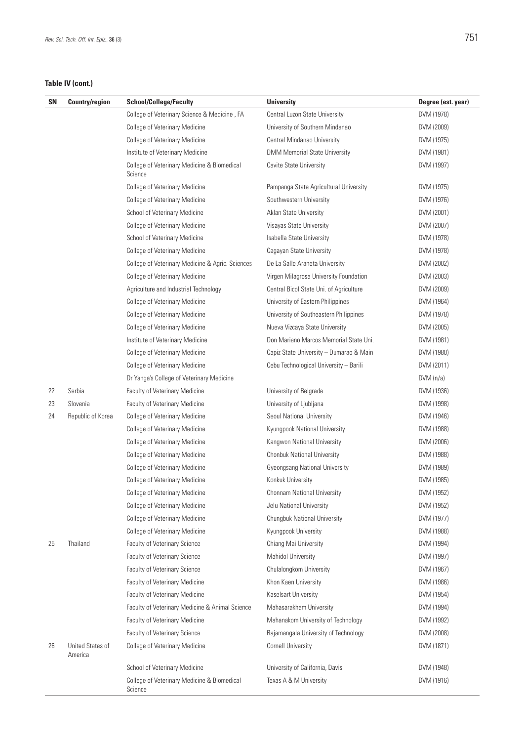## **Table IV (cont.)**

| SN | <b>Country/region</b>              | <b>School/College/Faculty</b>                          | <b>University</b>                       | Degree (est. year) |
|----|------------------------------------|--------------------------------------------------------|-----------------------------------------|--------------------|
|    |                                    | College of Veterinary Science & Medicine, FA           | Central Luzon State University          | DVM (1978)         |
|    |                                    | College of Veterinary Medicine                         | University of Southern Mindanao         | DVM (2009)         |
|    |                                    | College of Veterinary Medicine                         | Central Mindanao University             | DVM (1975)         |
|    |                                    | Institute of Veterinary Medicine                       | <b>DMM Memorial State University</b>    | DVM (1981)         |
|    |                                    | College of Veterinary Medicine & Biomedical<br>Science | Cavite State University                 | DVM (1997)         |
|    |                                    | <b>College of Veterinary Medicine</b>                  | Pampanga State Agricultural University  | DVM (1975)         |
|    |                                    | College of Veterinary Medicine                         | Southwestern University                 | DVM (1976)         |
|    |                                    | School of Veterinary Medicine                          | Aklan State University                  | DVM (2001)         |
|    |                                    | College of Veterinary Medicine                         | Visayas State University                | DVM (2007)         |
|    |                                    | School of Veterinary Medicine                          | Isabella State University               | DVM (1978)         |
|    |                                    | <b>College of Veterinary Medicine</b>                  | Cagayan State University                | DVM (1978)         |
|    |                                    | College of Veterinary Medicine & Agric. Sciences       | De La Salle Araneta University          | DVM (2002)         |
|    |                                    | College of Veterinary Medicine                         | Virgen Milagrosa University Foundation  | DVM (2003)         |
|    |                                    | Agriculture and Industrial Technology                  | Central Bicol State Uni. of Agriculture | DVM (2009)         |
|    |                                    | College of Veterinary Medicine                         | University of Eastern Philippines       | DVM (1964)         |
|    |                                    | College of Veterinary Medicine                         | University of Southeastern Philippines  | DVM (1978)         |
|    |                                    | <b>College of Veterinary Medicine</b>                  | Nueva Vizcaya State University          | DVM (2005)         |
|    |                                    | Institute of Veterinary Medicine                       | Don Mariano Marcos Memorial State Uni.  | DVM (1981)         |
|    |                                    | College of Veterinary Medicine                         | Capiz State University - Dumarao & Main | DVM (1980)         |
|    |                                    | College of Veterinary Medicine                         | Cebu Technological University - Barili  | DVM (2011)         |
|    |                                    | Dr Yanga's College of Veterinary Medicine              |                                         | DVM (n/a)          |
| 22 | Serbia                             | Faculty of Veterinary Medicine                         | University of Belgrade                  | DVM (1936)         |
| 23 | Slovenia                           | Faculty of Veterinary Medicine                         | University of Ljubljana                 | DVM (1998)         |
| 24 | Republic of Korea                  | College of Veterinary Medicine                         | Seoul National University               | DVM (1946)         |
|    |                                    | College of Veterinary Medicine                         | Kyungpook National University           | DVM (1988)         |
|    |                                    | College of Veterinary Medicine                         | Kangwon National University             | DVM (2006)         |
|    |                                    | College of Veterinary Medicine                         | <b>Chonbuk National University</b>      | DVM (1988)         |
|    |                                    | College of Veterinary Medicine                         | <b>Gyeongsang National University</b>   | DVM (1989)         |
|    |                                    | <b>College of Veterinary Medicine</b>                  | Konkuk University                       | DVM (1985)         |
|    |                                    | College of Veterinary Medicine                         | Chonnam National University             | DVM (1952)         |
|    |                                    | <b>College of Veterinary Medicine</b>                  | Jelu National University                | DVM (1952)         |
|    |                                    | College of Veterinary Medicine                         | Chungbuk National University            | DVM (1977)         |
|    |                                    | <b>College of Veterinary Medicine</b>                  | Kyungpook University                    | DVM (1988)         |
| 25 | Thailand                           | Faculty of Veterinary Science                          | Chiang Mai University                   | DVM (1994)         |
|    |                                    | Faculty of Veterinary Science                          | <b>Mahidol University</b>               | DVM (1997)         |
|    |                                    | Faculty of Veterinary Science                          | Chulalongkom University                 | DVM (1967)         |
|    |                                    | Faculty of Veterinary Medicine                         | Khon Kaen University                    | DVM (1986)         |
|    |                                    | Faculty of Veterinary Medicine                         | Kaselsart University                    | DVM (1954)         |
|    |                                    | Faculty of Veterinary Medicine & Animal Science        | Mahasarakham University                 | DVM (1994)         |
|    |                                    | Faculty of Veterinary Medicine                         | Mahanakom University of Technology      | DVM (1992)         |
|    |                                    | Faculty of Veterinary Science                          | Rajamangala University of Technology    | DVM (2008)         |
| 26 | <b>United States of</b><br>America | <b>College of Veterinary Medicine</b>                  | <b>Cornell University</b>               | DVM (1871)         |
|    |                                    | School of Veterinary Medicine                          | University of California, Davis         | DVM (1948)         |
|    |                                    | College of Veterinary Medicine & Biomedical<br>Science | Texas A & M University                  | DVM (1916)         |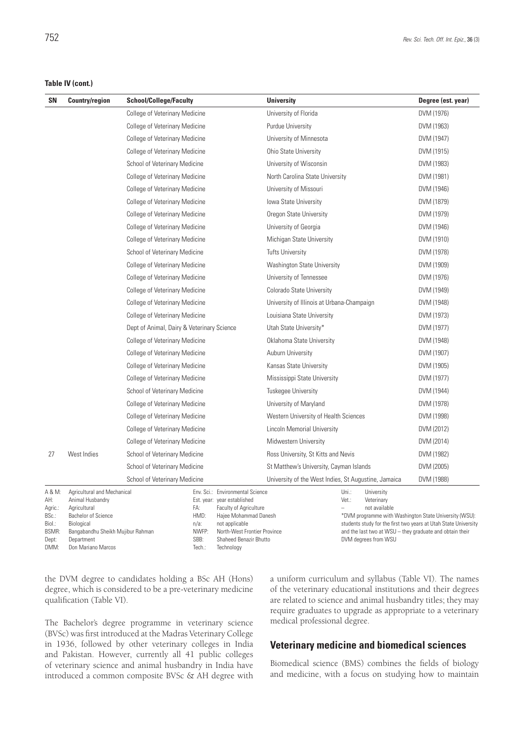### **Table IV (cont.)**

| SΝ                                                                           | <b>Country/region</b>                                                                                                                                                         | <b>School/College/Faculty</b>              |                                                                                                                                                                                                                       | <b>University</b>                                    |                                                                                                                                                                                                                                                                              | Degree (est. year) |
|------------------------------------------------------------------------------|-------------------------------------------------------------------------------------------------------------------------------------------------------------------------------|--------------------------------------------|-----------------------------------------------------------------------------------------------------------------------------------------------------------------------------------------------------------------------|------------------------------------------------------|------------------------------------------------------------------------------------------------------------------------------------------------------------------------------------------------------------------------------------------------------------------------------|--------------------|
|                                                                              |                                                                                                                                                                               | <b>College of Veterinary Medicine</b>      |                                                                                                                                                                                                                       | University of Florida                                |                                                                                                                                                                                                                                                                              | DVM (1976)         |
|                                                                              |                                                                                                                                                                               | College of Veterinary Medicine             |                                                                                                                                                                                                                       | <b>Purdue University</b>                             |                                                                                                                                                                                                                                                                              | DVM (1963)         |
|                                                                              |                                                                                                                                                                               | College of Veterinary Medicine             |                                                                                                                                                                                                                       | University of Minnesota                              |                                                                                                                                                                                                                                                                              | DVM (1947)         |
|                                                                              |                                                                                                                                                                               | College of Veterinary Medicine             |                                                                                                                                                                                                                       | Ohio State University                                |                                                                                                                                                                                                                                                                              | DVM (1915)         |
|                                                                              |                                                                                                                                                                               | School of Veterinary Medicine              |                                                                                                                                                                                                                       | University of Wisconsin                              |                                                                                                                                                                                                                                                                              | DVM (1983)         |
|                                                                              |                                                                                                                                                                               | College of Veterinary Medicine             |                                                                                                                                                                                                                       | North Carolina State University                      |                                                                                                                                                                                                                                                                              | DVM (1981)         |
|                                                                              |                                                                                                                                                                               | College of Veterinary Medicine             |                                                                                                                                                                                                                       | University of Missouri                               |                                                                                                                                                                                                                                                                              | DVM (1946)         |
|                                                                              |                                                                                                                                                                               | College of Veterinary Medicine             |                                                                                                                                                                                                                       | lowa State University                                |                                                                                                                                                                                                                                                                              | DVM (1879)         |
|                                                                              |                                                                                                                                                                               | College of Veterinary Medicine             |                                                                                                                                                                                                                       | Oregon State University                              |                                                                                                                                                                                                                                                                              | DVM (1979)         |
|                                                                              |                                                                                                                                                                               | College of Veterinary Medicine             |                                                                                                                                                                                                                       | University of Georgia                                |                                                                                                                                                                                                                                                                              | DVM (1946)         |
|                                                                              |                                                                                                                                                                               | College of Veterinary Medicine             |                                                                                                                                                                                                                       | Michigan State University                            |                                                                                                                                                                                                                                                                              | DVM (1910)         |
|                                                                              |                                                                                                                                                                               | School of Veterinary Medicine              |                                                                                                                                                                                                                       | <b>Tufts University</b>                              |                                                                                                                                                                                                                                                                              | DVM (1978)         |
|                                                                              |                                                                                                                                                                               | College of Veterinary Medicine             |                                                                                                                                                                                                                       | Washington State University                          |                                                                                                                                                                                                                                                                              | DVM (1909)         |
|                                                                              |                                                                                                                                                                               | College of Veterinary Medicine             |                                                                                                                                                                                                                       | University of Tennessee                              |                                                                                                                                                                                                                                                                              | DVM (1976)         |
|                                                                              |                                                                                                                                                                               | <b>College of Veterinary Medicine</b>      |                                                                                                                                                                                                                       | <b>Colorado State University</b>                     |                                                                                                                                                                                                                                                                              | DVM (1949)         |
|                                                                              |                                                                                                                                                                               | College of Veterinary Medicine             |                                                                                                                                                                                                                       | University of Illinois at Urbana-Champaign           |                                                                                                                                                                                                                                                                              | DVM (1948)         |
|                                                                              |                                                                                                                                                                               | College of Veterinary Medicine             |                                                                                                                                                                                                                       | Louisiana State University                           |                                                                                                                                                                                                                                                                              | DVM (1973)         |
|                                                                              |                                                                                                                                                                               | Dept of Animal, Dairy & Veterinary Science |                                                                                                                                                                                                                       | Utah State University*                               |                                                                                                                                                                                                                                                                              | DVM (1977)         |
|                                                                              |                                                                                                                                                                               | College of Veterinary Medicine             |                                                                                                                                                                                                                       | Oklahoma State University                            |                                                                                                                                                                                                                                                                              | DVM (1948)         |
|                                                                              |                                                                                                                                                                               | <b>College of Veterinary Medicine</b>      |                                                                                                                                                                                                                       | Auburn University                                    |                                                                                                                                                                                                                                                                              | DVM (1907)         |
|                                                                              |                                                                                                                                                                               | College of Veterinary Medicine             |                                                                                                                                                                                                                       | Kansas State University                              |                                                                                                                                                                                                                                                                              | DVM (1905)         |
|                                                                              |                                                                                                                                                                               | College of Veterinary Medicine             |                                                                                                                                                                                                                       | Mississippi State University                         | DVM (1977)                                                                                                                                                                                                                                                                   |                    |
|                                                                              |                                                                                                                                                                               | School of Veterinary Medicine              |                                                                                                                                                                                                                       | <b>Tuskegee University</b>                           |                                                                                                                                                                                                                                                                              | DVM (1944)         |
|                                                                              |                                                                                                                                                                               | College of Veterinary Medicine             |                                                                                                                                                                                                                       | University of Maryland                               |                                                                                                                                                                                                                                                                              | DVM (1978)         |
|                                                                              |                                                                                                                                                                               | College of Veterinary Medicine             |                                                                                                                                                                                                                       | Western University of Health Sciences                |                                                                                                                                                                                                                                                                              | DVM (1998)         |
|                                                                              |                                                                                                                                                                               | College of Veterinary Medicine             |                                                                                                                                                                                                                       | Lincoln Memorial University                          |                                                                                                                                                                                                                                                                              | DVM (2012)         |
|                                                                              |                                                                                                                                                                               | College of Veterinary Medicine             |                                                                                                                                                                                                                       | Midwestern University                                |                                                                                                                                                                                                                                                                              | DVM (2014)         |
| 27                                                                           | West Indies                                                                                                                                                                   | School of Veterinary Medicine              |                                                                                                                                                                                                                       | Ross University, St Kitts and Nevis                  |                                                                                                                                                                                                                                                                              | DVM (1982)         |
|                                                                              |                                                                                                                                                                               | School of Veterinary Medicine              |                                                                                                                                                                                                                       | St Matthew's University, Cayman Islands              |                                                                                                                                                                                                                                                                              | DVM (2005)         |
|                                                                              |                                                                                                                                                                               | <b>School of Veterinary Medicine</b>       |                                                                                                                                                                                                                       | University of the West Indies, St Augustine, Jamaica |                                                                                                                                                                                                                                                                              | DVM (1988)         |
| A & M:<br>AH:<br>Agric.:<br>BSc.:<br>Biol.:<br><b>BSMR:</b><br>Dept:<br>DMM: | Agricultural and Mechanical<br>Animal Husbandry<br>Agricultural<br>Bachelor of Science<br>Biological<br>Bangabandhu Sheikh Mujibur Rahman<br>Department<br>Don Mariano Marcos | FA:<br>HMD:<br>$n/a$ :<br>SBB:<br>Tech.:   | Env. Sci.: Environmental Science<br>Est. year: year established<br>Faculty of Agriculture<br>Hajee Mohammad Danesh<br>not applicable<br>NWFP:<br>North-West Frontier Province<br>Shaheed Benazir Bhutto<br>Technology |                                                      | Uni.:<br>University<br>Vet.:<br>Veterinary<br>not available<br>*DVM programme with Washington State University (WSU):<br>students study for the first two years at Utah State University<br>and the last two at WSU - they graduate and obtain their<br>DVM degrees from WSU |                    |

the DVM degree to candidates holding a BSc AH (Hons) degree, which is considered to be a pre-veterinary medicine qualification (Table VI).

The Bachelor's degree programme in veterinary science (BVSc) was first introduced at the Madras Veterinary College in 1936, followed by other veterinary colleges in India and Pakistan. However, currently all 41 public colleges of veterinary science and animal husbandry in India have introduced a common composite BVSc & AH degree with a uniform curriculum and syllabus (Table VI). The names of the veterinary educational institutions and their degrees are related to science and animal husbandry titles; they may require graduates to upgrade as appropriate to a veterinary medical professional degree.

## **Veterinary medicine and biomedical sciences**

Biomedical science (BMS) combines the fields of biology and medicine, with a focus on studying how to maintain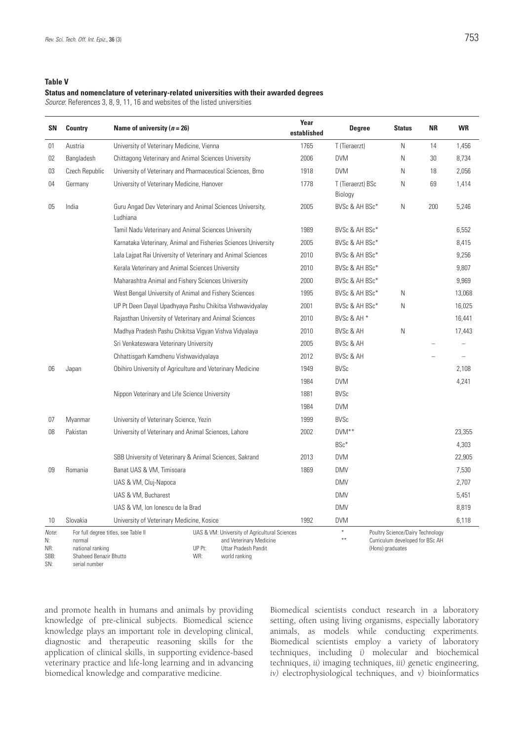### **Table V**

#### **Status and nomenclature of veterinary-related universities with their awarded degrees**

*Source*: References 3, 8, 9, 11, 16 and websites of the listed universities

| SΝ                 | <b>Country</b>                                                     | Name of university $(n = 26)$                                                                              | Year<br>established | <b>Degree</b>                | <b>Status</b>                                                                           | ΝR  | <b>WR</b> |
|--------------------|--------------------------------------------------------------------|------------------------------------------------------------------------------------------------------------|---------------------|------------------------------|-----------------------------------------------------------------------------------------|-----|-----------|
| 01                 | Austria                                                            | University of Veterinary Medicine, Vienna                                                                  | 1765                | T (Tieraerzt)                | Ν                                                                                       | 14  | 1,456     |
| 02                 | Bangladesh                                                         | Chittagong Veterinary and Animal Sciences University                                                       | 2006                | <b>DVM</b>                   | Ν                                                                                       | 30  | 8,734     |
| 03                 | Czech Republic                                                     | University of Veterinary and Pharmaceutical Sciences, Brno                                                 | 1918                | <b>DVM</b>                   | N                                                                                       | 18  | 2,056     |
| 04                 | Germany                                                            | University of Veterinary Medicine, Hanover                                                                 | 1778                | T (Tieraerzt) BSc<br>Biology | Ν                                                                                       | 69  | 1,414     |
| 05                 | India                                                              | Guru Angad Dev Veterinary and Animal Sciences University,<br>Ludhiana                                      | 2005                | BVSc & AH BSc*               | Ν                                                                                       | 200 | 5,246     |
|                    |                                                                    | Tamil Nadu Veterinary and Animal Sciences University                                                       | 1989                | BVSc & AH BSc*               |                                                                                         |     | 6,552     |
|                    |                                                                    | Karnataka Veterinary, Animal and Fisheries Sciences University                                             | 2005                | BVSc & AH BSc*               |                                                                                         |     | 8,415     |
|                    |                                                                    | Lala Lajpat Rai University of Veterinary and Animal Sciences                                               | 2010                | BVSc & AH BSc*               |                                                                                         |     | 9,256     |
|                    |                                                                    | Kerala Veterinary and Animal Sciences University                                                           | 2010                | BVSc & AH BSc*               |                                                                                         |     | 9,807     |
|                    |                                                                    | Maharashtra Animal and Fishery Sciences University                                                         | 2000                | BVSc & AH BSc*               |                                                                                         |     | 9,969     |
|                    |                                                                    | West Bengal University of Animal and Fishery Sciences                                                      | 1995                | BVSc & AH BSc*               | N                                                                                       |     | 13,068    |
|                    |                                                                    | UP Pt Deen Dayal Upadhyaya Pashu Chikitsa Vishwavidyalay                                                   | 2001                | BVSc & AH BSc*               | Ν                                                                                       |     | 16,025    |
|                    |                                                                    | Rajasthan University of Veterinary and Animal Sciences                                                     | 2010                | BVSc & AH <sup>*</sup>       |                                                                                         |     | 16,441    |
|                    |                                                                    | Madhya Pradesh Pashu Chikitsa Vigyan Vishva Vidyalaya                                                      | 2010                | <b>BVSc &amp; AH</b>         | Ν                                                                                       |     | 17,443    |
|                    |                                                                    | Sri Venkateswara Veterinary University                                                                     | 2005                | <b>BVSc &amp; AH</b>         |                                                                                         |     |           |
|                    |                                                                    | Chhattisgarh Kamdhenu Vishwavidyalaya                                                                      | 2012                | <b>BVSc &amp; AH</b>         |                                                                                         |     |           |
| 06                 | Japan                                                              | Obihiro University of Agriculture and Veterinary Medicine                                                  | 1949                | <b>BVSc</b>                  |                                                                                         |     | 2,108     |
|                    |                                                                    |                                                                                                            | 1984                | <b>DVM</b>                   |                                                                                         |     | 4,241     |
|                    |                                                                    | Nippon Veterinary and Life Science University                                                              | 1881                | <b>BVSc</b>                  |                                                                                         |     |           |
|                    |                                                                    |                                                                                                            | 1984                | <b>DVM</b>                   |                                                                                         |     |           |
| 07                 | Myanmar                                                            | University of Veterinary Science, Yezin                                                                    | 1999                | <b>BVSc</b>                  |                                                                                         |     |           |
| 08                 | Pakistan                                                           | University of Veterinary and Animal Sciences, Lahore                                                       | 2002                | DVM <sup>**</sup>            |                                                                                         |     | 23,355    |
|                    |                                                                    |                                                                                                            |                     | BSc*                         |                                                                                         |     | 4,303     |
|                    |                                                                    | SBB University of Veterinary & Animal Sciences, Sakrand                                                    | 2013                | <b>DVM</b>                   |                                                                                         |     | 22,905    |
| 09                 | Romania                                                            | Banat UAS & VM, Timisoara                                                                                  | 1869                | <b>DMV</b>                   |                                                                                         |     | 7,530     |
|                    |                                                                    | UAS & VM, Cluj-Napoca                                                                                      |                     | <b>DMV</b>                   |                                                                                         |     | 2,707     |
|                    |                                                                    | UAS & VM, Bucharest                                                                                        |                     | <b>DMV</b>                   |                                                                                         |     | 5,451     |
|                    |                                                                    | UAS & VM, Ion Ionescu de la Brad                                                                           |                     | <b>DMV</b>                   |                                                                                         |     | 8,819     |
| 10                 | Slovakia                                                           | University of Veterinary Medicine, Kosice                                                                  | 1992                | <b>DVM</b>                   |                                                                                         |     | 6,118     |
| Note:<br>N:<br>NR: | For full degree titles, see Table II<br>normal<br>national ranking | UAS & VM: University of Agricultural Sciences<br>and Veterinary Medicine<br>UP Pt:<br>Uttar Pradesh Pandit |                     | $\ast$<br>$* *$              | Poultry Science/Dairy Technology<br>Curriculum developed for BSc AH<br>(Hons) graduates |     |           |

SBB: Shaheed Benazir Bhutto

UP Pt: Uttar Pradesh Pandit WR: world ranking

lons) gradu

SN: serial number

and promote health in humans and animals by providing knowledge of pre-clinical subjects. Biomedical science knowledge plays an important role in developing clinical, diagnostic and therapeutic reasoning skills for the application of clinical skills, in supporting evidence-based veterinary practice and life-long learning and in advancing biomedical knowledge and comparative medicine.

Biomedical scientists conduct research in a laboratory setting, often using living organisms, especially laboratory animals, as models while conducting experiments. Biomedical scientists employ a variety of laboratory techniques, including *i)* molecular and biochemical techniques, *ii)* imaging techniques, *iii)* genetic engineering, *iv)* electrophysiological techniques, and *v)* bioinformatics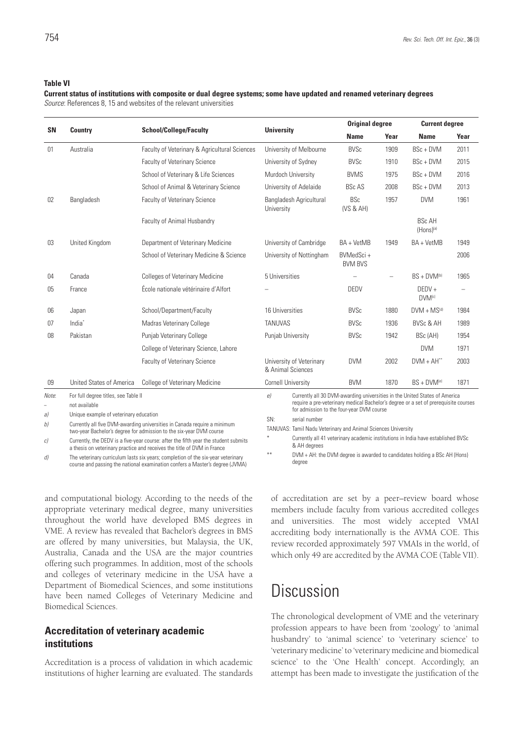#### **Table VI**

**Current status of institutions with composite or dual degree systems; some have updated and renamed veterinary degrees**  *Source*: References 8, 15 and websites of the relevant universities

| <b>SN</b>  |                                                       |                                                                                    |                                                                         | <b>Original degree</b>                    |                          | <b>Current degree</b>                                                                                                                                             |      |
|------------|-------------------------------------------------------|------------------------------------------------------------------------------------|-------------------------------------------------------------------------|-------------------------------------------|--------------------------|-------------------------------------------------------------------------------------------------------------------------------------------------------------------|------|
|            | <b>Country</b>                                        | <b>School/College/Faculty</b>                                                      | <b>University</b>                                                       | <b>Name</b>                               | Year                     | <b>Name</b>                                                                                                                                                       | Year |
| 01         | Australia                                             | Faculty of Veterinary & Agricultural Sciences                                      | University of Melbourne                                                 | <b>BVSc</b>                               | 1909                     | BSc + DVM                                                                                                                                                         | 2011 |
|            |                                                       | <b>Faculty of Veterinary Science</b>                                               | University of Sydney                                                    | <b>BVSc</b>                               | 1910                     | BSc + DVM                                                                                                                                                         | 2015 |
|            |                                                       | School of Veterinary & Life Sciences                                               | Murdoch University                                                      | <b>BVMS</b>                               | 1975                     | BSc + DVM                                                                                                                                                         | 2016 |
|            |                                                       | School of Animal & Veterinary Science                                              | University of Adelaide                                                  | <b>BSc AS</b>                             | 2008                     | $BSc + DVM$                                                                                                                                                       | 2013 |
| 02         | Bangladesh                                            | Faculty of Veterinary Science                                                      | Bangladesh Agricultural<br>University                                   | <b>BSc</b><br>(VS & AH)                   | 1957                     | <b>DVM</b>                                                                                                                                                        | 1961 |
|            |                                                       | Faculty of Animal Husbandry                                                        |                                                                         |                                           |                          | <b>BSc AH</b><br>$(Hons)^{(a)}$                                                                                                                                   |      |
| 03         | United Kingdom                                        | Department of Veterinary Medicine                                                  | University of Cambridge                                                 | BA + VetMB                                | 1949                     | BA + VetMB                                                                                                                                                        | 1949 |
|            |                                                       | School of Veterinary Medicine & Science                                            | University of Nottingham                                                | BVMedSci+<br><b>BVM BVS</b>               |                          |                                                                                                                                                                   | 2006 |
| 04         | Canada                                                | <b>Colleges of Veterinary Medicine</b>                                             | 5 Universities                                                          |                                           | $\overline{\phantom{0}}$ | $BS + DVM(b)$                                                                                                                                                     | 1965 |
| 05         | France                                                | École nationale vétérinaire d'Alfort                                               |                                                                         | DEDV                                      |                          | $DEDV +$<br>DVM <sup>(c)</sup>                                                                                                                                    |      |
| 06         | Japan                                                 | School/Department/Faculty                                                          | 16 Universities                                                         | <b>BVSc</b>                               | 1880                     | $DVM + MS^{(d)}$                                                                                                                                                  | 1984 |
| 07         | India <sup>*</sup>                                    | Madras Veterinary College                                                          | <b>TANUVAS</b>                                                          | <b>BVSc</b>                               | 1936                     | BVSc & AH                                                                                                                                                         | 1989 |
| 08         | Pakistan                                              | Punjab Veterinary College                                                          | Punjab University                                                       | <b>BVSc</b>                               | 1942                     | BSc (AH)                                                                                                                                                          | 1954 |
|            |                                                       | College of Veterinary Science, Lahore                                              |                                                                         |                                           |                          | <b>DVM</b>                                                                                                                                                        | 1971 |
|            |                                                       | <b>Faculty of Veterinary Science</b>                                               | University of Veterinary<br>& Animal Sciences                           | <b>DVM</b>                                | 2002                     | $DVM + AH**$                                                                                                                                                      | 2003 |
| 09         | <b>United States of America</b>                       | <b>College of Veterinary Medicine</b>                                              | <b>Cornell University</b>                                               | <b>BVM</b>                                | 1870                     | $BS + DVM(e)$                                                                                                                                                     | 1871 |
| Note:<br>÷ | For full degree titles, see Table II<br>not available |                                                                                    | $\epsilon$                                                              | for admission to the four-year DVM course |                          | Currently all 30 DVM-awarding universities in the United States of America<br>require a pre-veterinary medical Bachelor's degree or a set of prerequisite courses |      |
| a)<br>b)   | Unique example of veterinary education                | Currently all five DVM-awarding universities in Canada require a minimum           | SN:<br>serial number                                                    |                                           |                          |                                                                                                                                                                   |      |
|            |                                                       | two-year Bachelor's degree for admission to the six-year DVM course                | TANUVAS: Tamil Nadu Veterinary and Animal Sciences University<br>$\ast$ |                                           |                          |                                                                                                                                                                   |      |
| οl         |                                                       | Currently the DEDV is a five-year course; after the fifth year the student submits |                                                                         |                                           |                          | Currently all 41 veterinary academic institutions in India have established BVSc                                                                                  |      |

*c)* Currently, the DEDV is a five-year course: after the fifth year the student submits a thesis on veterinary practice and receives the title of DVM in France

*d)* The veterinary curriculum lasts six years; completion of the six-year veterinary course and passing the national examination confers a Master's degree (JVMA) & AH degrees

\*\* DVM + AH: the DVM degree is awarded to candidates holding a BSc AH (Hons) degree

and computational biology. According to the needs of the appropriate veterinary medical degree, many universities throughout the world have developed BMS degrees in VME. A review has revealed that Bachelor's degrees in BMS are offered by many universities, but Malaysia, the UK, Australia, Canada and the USA are the major countries offering such programmes. In addition, most of the schools and colleges of veterinary medicine in the USA have a Department of Biomedical Sciences, and some institutions have been named Colleges of Veterinary Medicine and Biomedical Sciences.

## **Accreditation of veterinary academic institutions**

Accreditation is a process of validation in which academic institutions of higher learning are evaluated. The standards of accreditation are set by a peer–review board whose members include faculty from various accredited colleges and universities. The most widely accepted VMAI accrediting body internationally is the AVMA COE. This review recorded approximately 597 VMAIs in the world, of which only 49 are accredited by the AVMA COE (Table VII).

## Discussion

The chronological development of VME and the veterinary profession appears to have been from 'zoology' to 'animal husbandry' to 'animal science' to 'veterinary science' to 'veterinary medicine' to 'veterinary medicine and biomedical science' to the 'One Health' concept. Accordingly, an attempt has been made to investigate the justification of the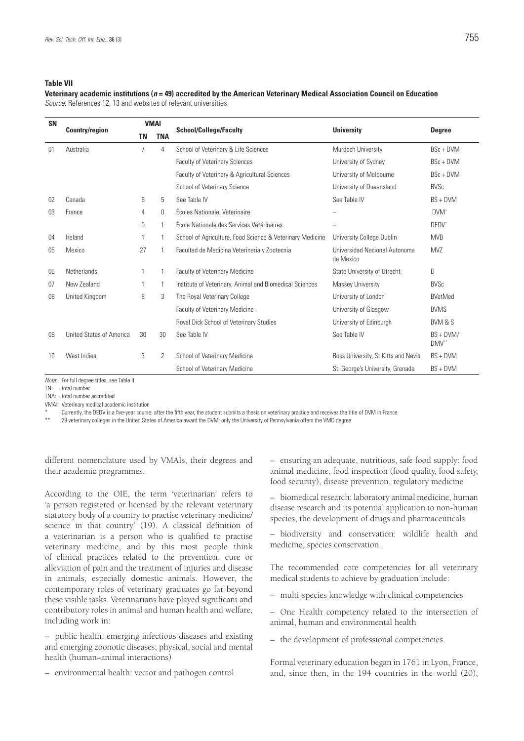#### **Table VII**

**Veterinary academic institutions (***n* **= 49) accredited by the American Veterinary Medical Association Council on Education** *Source*: References 12, 13 and websites of relevant universities

| <b>SN</b> | <b>Country/region</b>    | <b>VMAI</b>    |              | <b>School/College/Faculty</b>                             | <b>University</b>                          |                      |
|-----------|--------------------------|----------------|--------------|-----------------------------------------------------------|--------------------------------------------|----------------------|
|           |                          | ΤN             | <b>TNA</b>   |                                                           |                                            | <b>Degree</b>        |
| 01        | Australia                | $\overline{7}$ | 4            | School of Veterinary & Life Sciences                      | Murdoch University                         | $BSc + DVM$          |
|           |                          |                |              | <b>Faculty of Veterinary Sciences</b>                     | University of Sydney                       | BSc + DVM            |
|           |                          |                |              | Faculty of Veterinary & Agricultural Sciences             | University of Melbourne                    | BSc + DVM            |
|           |                          |                |              | School of Veterinary Science                              | University of Queensland                   | <b>BVSc</b>          |
| 02        | Canada                   | 5              | 5            | See Table IV                                              | See Table IV                               | $BS + DVM$           |
| 03        | France                   | 4              | 0            | Écoles Nationale, Veterinaire                             |                                            | DVM'                 |
|           |                          | $\Omega$       | $\mathbf{1}$ | École Nationale des Services Vétérinaires                 |                                            | DEDV*                |
| 04        | Ireland                  |                | 1            | School of Agriculture, Food Science & Veterinary Medicine | University College Dublin                  | <b>MVB</b>           |
| 05        | Mexico                   | 27             |              | Facultad de Medicina Veterinaria y Zootecnia              | Universidad Nacional Autonoma<br>de Mexico | <b>MVZ</b>           |
| 06        | Netherlands              |                | 1            | <b>Faculty of Veterinary Medicine</b>                     | State University of Utrecht                | D                    |
| 07        | New Zealand              |                | 1            | Institute of Veterinary, Animal and Biomedical Sciences   | Massey University                          | <b>BVSc</b>          |
| 08        | United Kingdom           | 8              | 3            | The Royal Veterinary College                              | University of London                       | <b>BVetMed</b>       |
|           |                          |                |              | Faculty of Veterinary Medicine                            | University of Glasgow                      | <b>BVMS</b>          |
|           |                          |                |              | Royal Dick School of Veterinary Studies                   | University of Edinburgh                    | <b>BVM &amp; S</b>   |
| 09        | United States of America | 30             | 30           | See Table IV                                              | See Table IV                               | $BS + DVM/$<br>DMV** |
| 10        | West Indies              | 3              | 2            | School of Veterinary Medicine                             | Ross University, St Kitts and Nevis        | $BS + DVM$           |
|           |                          |                |              | School of Veterinary Medicine                             | St. George's University, Grenada           | $BS + DVM$           |

*Note*: For full degree titles, see Table II

TN: total number

TNA: total number accredited

VMAI: Veterinary medical academic institution

\* Currently, the DEDV is a five-year course; after the fifth year, the student submits a thesis on veterinary practice and receives the title of DVM in France

29 veterinary colleges in the United States of America award the DVM; only the University of Pennsylvania offers the VMD degree

different nomenclature used by VMAIs, their degrees and their academic programmes.

According to the OIE, the term 'veterinarian' refers to 'a person registered or licensed by the relevant veterinary statutory body of a country to practise veterinary medicine/ science in that country' (19). A classical definition of a veterinarian is a person who is qualified to practise veterinary medicine, and by this most people think of clinical practices related to the prevention, cure or alleviation of pain and the treatment of injuries and disease in animals, especially domestic animals. However, the contemporary roles of veterinary graduates go far beyond these visible tasks. Veterinarians have played significant and contributory roles in animal and human health and welfare, including work in:

*–* public health: emerging infectious diseases and existing and emerging zoonotic diseases; physical, social and mental health (human–animal interactions)

– environmental health: vector and pathogen control

– ensuring an adequate, nutritious, safe food supply: food animal medicine, food inspection (food quality, food safety, food security), disease prevention, regulatory medicine

– biomedical research: laboratory animal medicine, human disease research and its potential application to non-human species, the development of drugs and pharmaceuticals

– biodiversity and conservation: wildlife health and medicine, species conservation.

The recommended core competencies for all veterinary medical students to achieve by graduation include:

– multi-species knowledge with clinical competencies

– One Health competency related to the intersection of animal, human and environmental health

– the development of professional competencies.

Formal veterinary education began in 1761 in Lyon, France, and, since then, in the 194 countries in the world (20),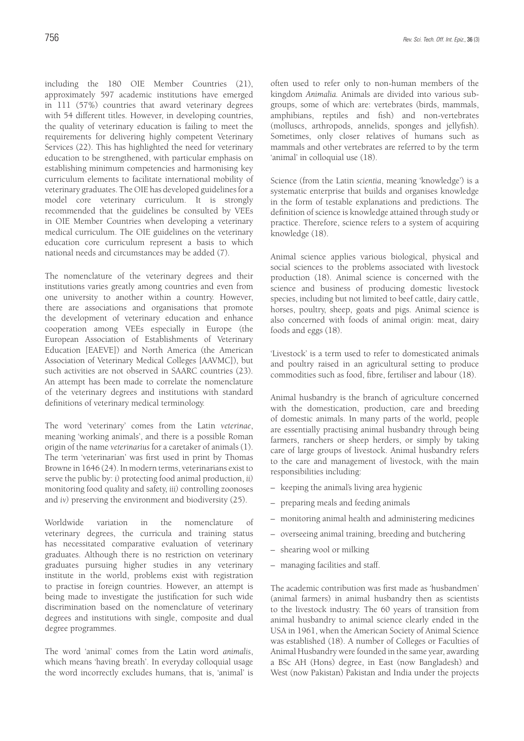including the 180 OIE Member Countries (21), approximately 597 academic institutions have emerged in 111 (57%) countries that award veterinary degrees with 54 different titles. However, in developing countries, the quality of veterinary education is failing to meet the requirements for delivering highly competent Veterinary Services (22). This has highlighted the need for veterinary education to be strengthened, with particular emphasis on establishing minimum competencies and harmonising key curriculum elements to facilitate international mobility of veterinary graduates. The OIE has developed guidelines for a model core veterinary curriculum. It is strongly recommended that the guidelines be consulted by VEEs in OIE Member Countries when developing a veterinary medical curriculum. The OIE guidelines on the veterinary education core curriculum represent a basis to which national needs and circumstances may be added (7).

The nomenclature of the veterinary degrees and their institutions varies greatly among countries and even from one university to another within a country. However, there are associations and organisations that promote the development of veterinary education and enhance cooperation among VEEs especially in Europe (the European Association of Establishments of Veterinary Education [EAEVE]) and North America (the American Association of Veterinary Medical Colleges [AAVMC]), but such activities are not observed in SAARC countries (23). An attempt has been made to correlate the nomenclature of the veterinary degrees and institutions with standard definitions of veterinary medical terminology.

The word 'veterinary' comes from the Latin *veterinae*, meaning 'working animals', and there is a possible Roman origin of the name *veterinarius* for a caretaker of animals (1). The term 'veterinarian' was first used in print by Thomas Browne in 1646 (24). In modern terms, veterinarians exist to serve the public by: *i)* protecting food animal production, *ii)* monitoring food quality and safety, *iii)* controlling zoonoses and *iv)* preserving the environment and biodiversity (25).

Worldwide variation in the nomenclature of veterinary degrees, the curricula and training status has necessitated comparative evaluation of veterinary graduates. Although there is no restriction on veterinary graduates pursuing higher studies in any veterinary institute in the world, problems exist with registration to practise in foreign countries. However, an attempt is being made to investigate the justification for such wide discrimination based on the nomenclature of veterinary degrees and institutions with single, composite and dual degree programmes.

The word 'animal' comes from the Latin word *animalis*, which means 'having breath'. In everyday colloquial usage the word incorrectly excludes humans, that is, 'animal' is often used to refer only to non-human members of the kingdom *Animalia.* Animals are divided into various subgroups, some of which are: vertebrates (birds, mammals, amphibians, reptiles and fish) and non-vertebrates (molluscs, arthropods, annelids, sponges and jellyfish). Sometimes, only closer relatives of humans such as mammals and other vertebrates are referred to by the term 'animal' in colloquial use (18).

Science (from the Latin *scientia*, meaning 'knowledge') is a systematic enterprise that builds and organises knowledge in the form of testable explanations and predictions. The definition of science is knowledge attained through study or practice. Therefore, science refers to a system of acquiring knowledge (18).

Animal science applies various biological, physical and social sciences to the problems associated with livestock production (18). Animal science is concerned with the science and business of producing domestic livestock species, including but not limited to beef cattle, dairy cattle, horses, poultry, sheep, goats and pigs. Animal science is also concerned with foods of animal origin: meat, dairy foods and eggs (18).

'Livestock' is a term used to refer to domesticated animals and poultry raised in an agricultural setting to produce commodities such as food, fibre, fertiliser and labour (18).

Animal husbandry is the branch of agriculture concerned with the domestication, production, care and breeding of domestic animals. In many parts of the world, people are essentially practising animal husbandry through being farmers, ranchers or sheep herders, or simply by taking care of large groups of livestock. Animal husbandry refers to the care and management of livestock, with the main responsibilities including:

- keeping the animal's living area hygienic
- preparing meals and feeding animals
- monitoring animal health and administering medicines
- overseeing animal training, breeding and butchering
- shearing wool or milking
- managing facilities and staff.

The academic contribution was first made as 'husbandmen' (animal farmers) in animal husbandry then as scientists to the livestock industry. The 60 years of transition from animal husbandry to animal science clearly ended in the USA in 1961, when the American Society of Animal Science was established (18). A number of Colleges or Faculties of Animal Husbandry were founded in the same year, awarding a BSc AH (Hons) degree, in East (now Bangladesh) and West (now Pakistan) Pakistan and India under the projects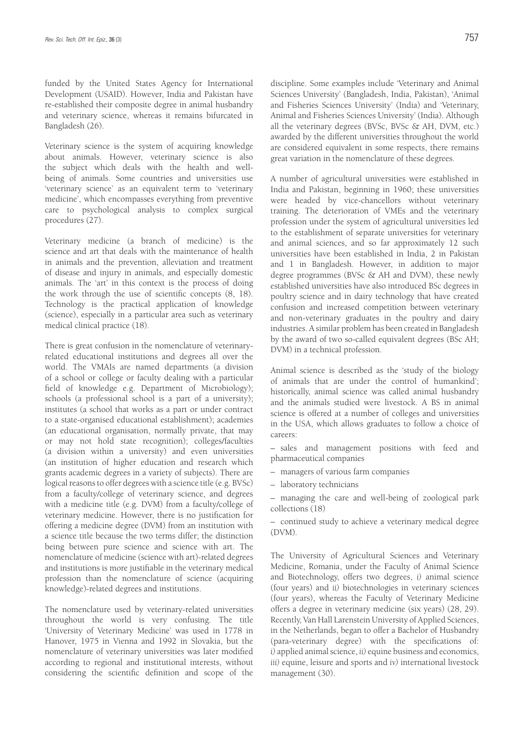funded by the United States Agency for International Development (USAID). However, India and Pakistan have re-established their composite degree in animal husbandry and veterinary science, whereas it remains bifurcated in Bangladesh (26).

Veterinary science is the system of acquiring knowledge about animals. However, veterinary science is also the subject which deals with the health and wellbeing of animals. Some countries and universities use 'veterinary science' as an equivalent term to 'veterinary medicine', which encompasses everything from preventive care to psychological analysis to complex surgical procedures (27).

Veterinary medicine (a branch of medicine) is the science and art that deals with the maintenance of health in animals and the prevention, alleviation and treatment of disease and injury in animals, and especially domestic animals. The 'art' in this context is the process of doing the work through the use of scientific concepts (8, 18). Technology is the practical application of knowledge (science), especially in a particular area such as veterinary medical clinical practice (18).

There is great confusion in the nomenclature of veterinaryrelated educational institutions and degrees all over the world. The VMAIs are named departments (a division of a school or college or faculty dealing with a particular field of knowledge e.g. Department of Microbiology); schools (a professional school is a part of a university); institutes (a school that works as a part or under contract to a state-organised educational establishment); academies (an educational organisation, normally private, that may or may not hold state recognition); colleges/faculties (a division within a university) and even universities (an institution of higher education and research which grants academic degrees in a variety of subjects). There are logical reasons to offer degrees with a science title (e.g. BVSc) from a faculty/college of veterinary science, and degrees with a medicine title (e.g. DVM) from a faculty/college of veterinary medicine. However, there is no justification for offering a medicine degree (DVM) from an institution with a science title because the two terms differ; the distinction being between pure science and science with art. The nomenclature of medicine (science with art)-related degrees and institutions is more justifiable in the veterinary medical profession than the nomenclature of science (acquiring knowledge)-related degrees and institutions.

The nomenclature used by veterinary-related universities throughout the world is very confusing. The title 'University of Veterinary Medicine' was used in 1778 in Hanover, 1975 in Vienna and 1992 in Slovakia, but the nomenclature of veterinary universities was later modified according to regional and institutional interests, without considering the scientific definition and scope of the

discipline. Some examples include 'Veterinary and Animal Sciences University' (Bangladesh, India, Pakistan), 'Animal and Fisheries Sciences University' (India) and 'Veterinary, Animal and Fisheries Sciences University' (India). Although all the veterinary degrees (BVSc, BVSc & AH, DVM, etc.) awarded by the different universities throughout the world are considered equivalent in some respects, there remains great variation in the nomenclature of these degrees.

A number of agricultural universities were established in India and Pakistan, beginning in 1960; these universities were headed by vice-chancellors without veterinary training. The deterioration of VMEs and the veterinary profession under the system of agricultural universities led to the establishment of separate universities for veterinary and animal sciences, and so far approximately 12 such universities have been established in India, 2 in Pakistan and 1 in Bangladesh. However, in addition to major degree programmes (BVSc & AH and DVM), these newly established universities have also introduced BSc degrees in poultry science and in dairy technology that have created confusion and increased competition between veterinary and non-veterinary graduates in the poultry and dairy industries. A similar problem has been created in Bangladesh by the award of two so-called equivalent degrees (BSc AH; DVM) in a technical profession.

Animal science is described as the 'study of the biology of animals that are under the control of humankind'; historically, animal science was called animal husbandry and the animals studied were livestock. A BS in animal science is offered at a number of colleges and universities in the USA, which allows graduates to follow a choice of careers:

– sales and management positions with feed and pharmaceutical companies

- managers of various farm companies
- laboratory technicians

– managing the care and well-being of zoological park collections (18)

– continued study to achieve a veterinary medical degree (DVM).

The University of Agricultural Sciences and Veterinary Medicine, Romania, under the Faculty of Animal Science and Biotechnology, offers two degrees, *i)* animal science (four years) and *ii)* biotechnologies in veterinary sciences (four years), whereas the Faculty of Veterinary Medicine offers a degree in veterinary medicine (six years) (28, 29). Recently, Van Hall Larenstein University of Applied Sciences, in the Netherlands, began to offer a Bachelor of Husbandry (para-veterinary degree) with the specifications of: *i)* applied animal science, *ii)* equine business and economics, *iii)* equine, leisure and sports and *iv)* international livestock management (30).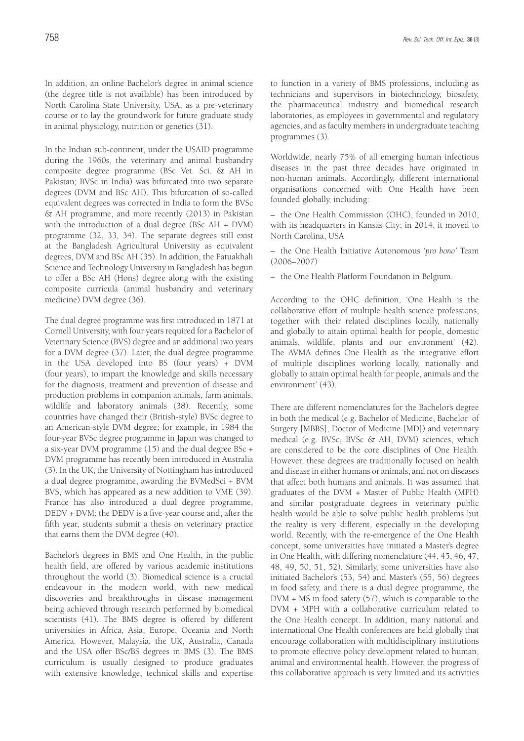In addition, an online Bachelor's degree in animal science (the degree title is not available) has been introduced by North Carolina State University, USA, as a pre-veterinary course or to lay the groundwork for future graduate study in animal physiology, nutrition or genetics (31).

In the Indian sub-continent, under the USAID programme during the 1960s, the veterinary and animal husbandry composite degree programme (BSc Vet. Sci. & AH in Pakistan; BVSc in India) was bifurcated into two separate degrees (DVM and BSc AH). This bifurcation of so-called equivalent degrees was corrected in India to form the BVSc & AH programme, and more recently (2013) in Pakistan with the introduction of a dual degree (BSc AH + DVM) programme (32, 33, 34). The separate degrees still exist at the Bangladesh Agricultural University as equivalent degrees, DVM and BSc AH (35). In addition, the Patuakhali Science and Technology University in Bangladesh has begun to offer a BSc AH (Hons) degree along with the existing composite curricula (animal husbandry and veterinary medicine) DVM degree (36).

The dual degree programme was first introduced in 1871 at Cornell University, with four years required for a Bachelor of Veterinary Science (BVS) degree and an additional two years for a DVM degree (37). Later, the dual degree programme in the USA developed into BS (four years) + DVM (four years), to impart the knowledge and skills necessary for the diagnosis, treatment and prevention of disease and production problems in companion animals, farm animals, wildlife and laboratory animals (38). Recently, some countries have changed their (British-style) BVSc degree to an American-style DVM degree; for example, in 1984 the four-year BVSc degree programme in Japan was changed to a six-year DVM programme (15) and the dual degree BSc + DVM programme has recently been introduced in Australia (3). In the UK, the University of Nottingham has introduced a dual degree programme, awarding the BVMedSci + BVM BVS, which has appeared as a new addition to VME (39). France has also introduced a dual degree programme, DEDV + DVM; the DEDV is a five-year course and, after the fifth year, students submit a thesis on veterinary practice that earns them the DVM degree (40).

Bachelor's degrees in BMS and One Health, in the public health field, are offered by various academic institutions throughout the world (3). Biomedical science is a crucial endeavour in the modern world, with new medical discoveries and breakthroughs in disease management being achieved through research performed by biomedical scientists (41). The BMS degree is offered by different universities in Africa, Asia, Europe, Oceania and North America. However, Malaysia, the UK, Australia, Canada and the USA offer BSc/BS degrees in BMS (3). The BMS curriculum is usually designed to produce graduates with extensive knowledge, technical skills and expertise

to function in a variety of BMS professions, including as technicians and supervisors in biotechnology, biosafety, the pharmaceutical industry and biomedical research laboratories, as employees in governmental and regulatory agencies, and as faculty members in undergraduate teaching programmes (3).

Worldwide, nearly 75% of all emerging human infectious diseases in the past three decades have originated in non-human animals. Accordingly, different international organisations concerned with One Health have been founded globally, including:

– the One Health Commission (OHC), founded in 2010, with its headquarters in Kansas City; in 2014, it moved to North Carolina, USA

– the One Health Initiative Autonomous *'pro bono'* Team (2006–2007)

– the One Health Platform Foundation in Belgium.

According to the OHC definition, 'One Health is the collaborative effort of multiple health science professions, together with their related disciplines locally, nationally and globally to attain optimal health for people, domestic animals, wildlife, plants and our environment' (42). The AVMA defines One Health as 'the integrative effort of multiple disciplines working locally, nationally and globally to attain optimal health for people, animals and the environment' (43).

There are different nomenclatures for the Bachelor's degree in both the medical (e.g. Bachelor of Medicine, Bachelor of Surgery [MBBS], Doctor of Medicine [MD]) and veterinary medical (e.g. BVSc, BVSc & AH, DVM) sciences, which are considered to be the core disciplines of One Health. However, these degrees are traditionally focused on health and disease in either humans or animals, and not on diseases that affect both humans and animals. It was assumed that graduates of the DVM + Master of Public Health (MPH) and similar postgraduate degrees in veterinary public health would be able to solve public health problems but the reality is very different, especially in the developing world. Recently, with the re-emergence of the One Health concept, some universities have initiated a Master's degree in One Health, with differing nomenclature (44, 45, 46, 47, 48, 49, 50, 51, 52). Similarly, some universities have also initiated Bachelor's (53, 54) and Master's (55, 56) degrees in food safety, and there is a dual degree programme, the DVM + MS in food safety (57), which is comparable to the DVM + MPH with a collaborative curriculum related to the One Health concept. In addition, many national and international One Health conferences are held globally that encourage collaboration with multidisciplinary institutions to promote effective policy development related to human, animal and environmental health. However, the progress of this collaborative approach is very limited and its activities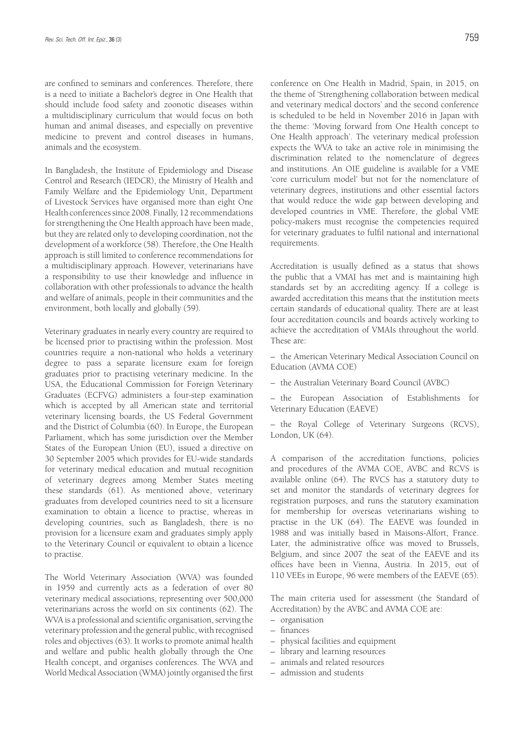are confined to seminars and conferences. Therefore, there is a need to initiate a Bachelor's degree in One Health that should include food safety and zoonotic diseases within a multidisciplinary curriculum that would focus on both human and animal diseases, and especially on preventive medicine to prevent and control diseases in humans, animals and the ecosystem.

In Bangladesh, the Institute of Epidemiology and Disease Control and Research (IEDCR), the Ministry of Health and Family Welfare and the Epidemiology Unit, Department of Livestock Services have organised more than eight One Health conferences since 2008. Finally, 12 recommendations for strengthening the One Health approach have been made, but they are related only to developing coordination, not the development of a workforce (58). Therefore, the One Health approach is still limited to conference recommendations for a multidisciplinary approach. However, veterinarians have a responsibility to use their knowledge and influence in collaboration with other professionals to advance the health and welfare of animals, people in their communities and the environment, both locally and globally (59).

Veterinary graduates in nearly every country are required to be licensed prior to practising within the profession. Most countries require a non-national who holds a veterinary degree to pass a separate licensure exam for foreign graduates prior to practising veterinary medicine. In the USA, the Educational Commission for Foreign Veterinary Graduates (ECFVG) administers a four-step examination which is accepted by all American state and territorial veterinary licensing boards, the US Federal Government and the District of Columbia (60). In Europe, the European Parliament, which has some jurisdiction over the Member States of the European Union (EU), issued a directive on 30 September 2005 which provides for EU-wide standards for veterinary medical education and mutual recognition of veterinary degrees among Member States meeting these standards (61). As mentioned above, veterinary graduates from developed countries need to sit a licensure examination to obtain a licence to practise, whereas in developing countries, such as Bangladesh, there is no provision for a licensure exam and graduates simply apply to the Veterinary Council or equivalent to obtain a licence to practise.

The World Veterinary Association (WVA) was founded in 1959 and currently acts as a federation of over 80 veterinary medical associations, representing over 500,000 veterinarians across the world on six continents (62). The WVA is a professional and scientific organisation, serving the veterinary profession and the general public, with recognised roles and objectives (63). It works to promote animal health and welfare and public health globally through the One Health concept, and organises conferences. The WVA and World Medical Association (WMA) jointly organised the first

conference on One Health in Madrid, Spain, in 2015, on the theme of 'Strengthening collaboration between medical and veterinary medical doctors' and the second conference is scheduled to be held in November 2016 in Japan with the theme: 'Moving forward from One Health concept to One Health approach'. The veterinary medical profession expects the WVA to take an active role in minimising the discrimination related to the nomenclature of degrees

and institutions. An OIE guideline is available for a VME 'core curriculum model' but not for the nomenclature of veterinary degrees, institutions and other essential factors that would reduce the wide gap between developing and developed countries in VME. Therefore, the global VME policy-makers must recognise the competencies required for veterinary graduates to fulfil national and international requirements.

Accreditation is usually defined as a status that shows the public that a VMAI has met and is maintaining high standards set by an accrediting agency. If a college is awarded accreditation this means that the institution meets certain standards of educational quality. There are at least four accreditation councils and boards actively working to achieve the accreditation of VMAIs throughout the world. These are:

– the American Veterinary Medical Association Council on Education (AVMA COE)

– the Australian Veterinary Board Council (AVBC)

– the European Association of Establishments for Veterinary Education (EAEVE)

– the Royal College of Veterinary Surgeons (RCVS), London, UK (64).

A comparison of the accreditation functions, policies and procedures of the AVMA COE, AVBC and RCVS is available online (64). The RVCS has a statutory duty to set and monitor the standards of veterinary degrees for registration purposes, and runs the statutory examination for membership for overseas veterinarians wishing to practise in the UK (64). The EAEVE was founded in 1988 and was initially based in Maisons-Alfort, France. Later, the administrative office was moved to Brussels, Belgium, and since 2007 the seat of the EAEVE and its offices have been in Vienna, Austria. In 2015, out of 110 VEEs in Europe, 96 were members of the EAEVE (65).

The main criteria used for assessment (the Standard of Accreditation) by the AVBC and AVMA COE are:

- organisation
- finances
- physical facilities and equipment
- library and learning resources
- animals and related resources
- admission and students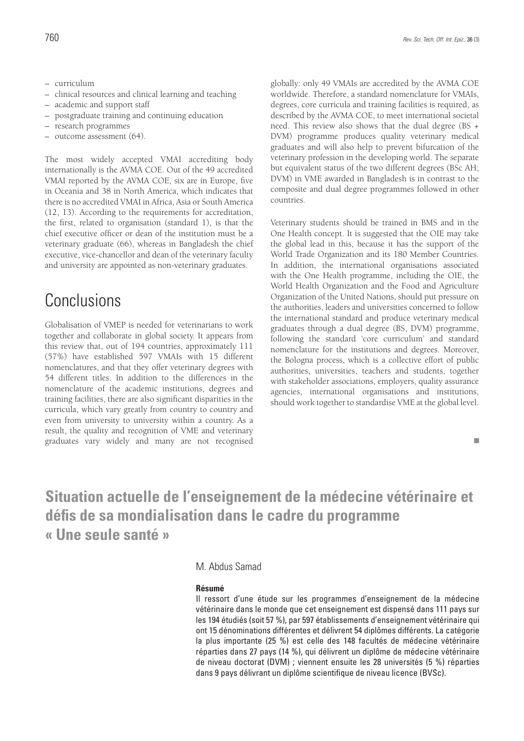- curriculum
- clinical resources and clinical learning and teaching
- academic and support staff
- postgraduate training and continuing education
- research programmes
- outcome assessment (64).

The most widely accepted VMAI accrediting body internationally is the AVMA COE. Out of the 49 accredited VMAI reported by the AVMA COE, six are in Europe, five in Oceania and 38 in North America, which indicates that there is no accredited VMAI in Africa, Asia or South America (12, 13). According to the requirements for accreditation, the first, related to organisation (standard 1), is that the chief executive officer or dean of the institution must be a veterinary graduate (66), whereas in Bangladesh the chief executive, vice-chancellor and dean of the veterinary faculty and university are appointed as non-veterinary graduates.

## Conclusions

Globalisation of VMEP is needed for veterinarians to work together and collaborate in global society. It appears from this review that, out of 194 countries, approximately 111 (57%) have established 597 VMAIs with 15 different nomenclatures, and that they offer veterinary degrees with 54 different titles. In addition to the differences in the nomenclature of the academic institutions, degrees and training facilities, there are also significant disparities in the curricula, which vary greatly from country to country and even from university to university within a country. As a result, the quality and recognition of VME and veterinary graduates vary widely and many are not recognised globally: only 49 VMAIs are accredited by the AVMA COE worldwide. Therefore, a standard nomenclature for VMAIs, degrees, core curricula and training facilities is required, as described by the AVMA COE, to meet international societal need. This review also shows that the dual degree (BS + DVM) programme produces quality veterinary medical graduates and will also help to prevent bifurcation of the veterinary profession in the developing world. The separate but equivalent status of the two different degrees (BSc AH; DVM) in VME awarded in Bangladesh is in contrast to the composite and dual degree programmes followed in other countries.

Veterinary students should be trained in BMS and in the One Health concept. It is suggested that the OIE may take the global lead in this, because it has the support of the World Trade Organization and its 180 Member Countries. In addition, the international organisations associated with the One Health programme, including the OIE, the World Health Organization and the Food and Agriculture Organization of the United Nations, should put pressure on the authorities, leaders and universities concerned to follow the international standard and produce veterinary medical graduates through a dual degree (BS, DVM) programme, following the standard 'core curriculum' and standard nomenclature for the institutions and degrees. Moreover, the Bologna process, which is a collective effort of public authorities, universities, teachers and students, together with stakeholder associations, employers, quality assurance agencies, international organisations and institutions, should work together to standardise VME at the global level.

#### $\mathbf{r}$

## **Situation actuelle de l'enseignement de la médecine vétérinaire et défis de sa mondialisation dans le cadre du programme « Une seule santé »**

### M. Abdus Samad

#### **Résumé**

Il ressort d'une étude sur les programmes d'enseignement de la médecine vétérinaire dans le monde que cet enseignement est dispensé dans 111 pays sur les 194 étudiés (soit 57 %), par 597 établissements d'enseignement vétérinaire qui ont 15 dénominations différentes et délivrent 54 diplômes différents. La catégorie la plus importante (25 %) est celle des 148 facultés de médecine vétérinaire réparties dans 27 pays (14 %), qui délivrent un diplôme de médecine vétérinaire de niveau doctorat (DVM) ; viennent ensuite les 28 universités (5 %) réparties dans 9 pays délivrant un diplôme scientifique de niveau licence (BVSc).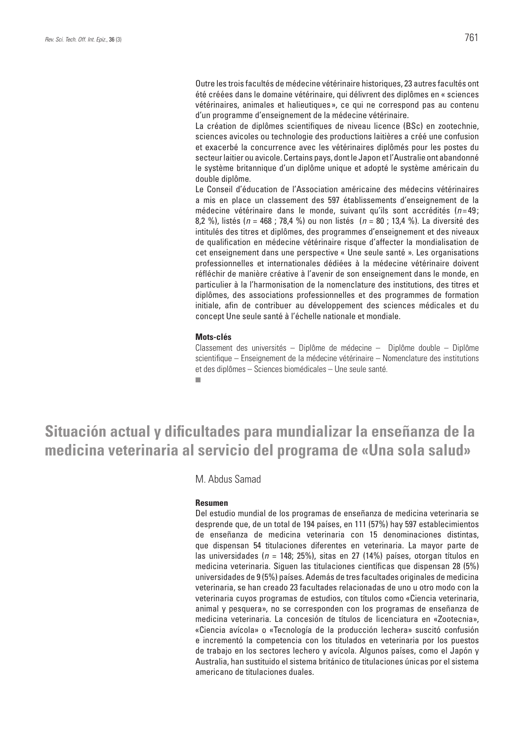Outre les trois facultés de médecine vétérinaire historiques, 23 autres facultés ont été créées dans le domaine vétérinaire, qui délivrent des diplômes en « sciences vétérinaires, animales et halieutiques », ce qui ne correspond pas au contenu d'un programme d'enseignement de la médecine vétérinaire.

La création de diplômes scientifiques de niveau licence (BSc) en zootechnie, sciences avicoles ou technologie des productions laitières a créé une confusion et exacerbé la concurrence avec les vétérinaires diplômés pour les postes du secteur laitier ou avicole. Certains pays, dont le Japon et l'Australie ont abandonné le système britannique d'un diplôme unique et adopté le système américain du double diplôme.

Le Conseil d'éducation de l'Association américaine des médecins vétérinaires a mis en place un classement des 597 établissements d'enseignement de la médecine vétérinaire dans le monde, suivant qu'ils sont accrédités (n=49; 8,2 %), listés (*n* = 468 ; 78,4 %) ou non listés (*n* = 80 ; 13,4 %). La diversité des intitulés des titres et diplômes, des programmes d'enseignement et des niveaux de qualification en médecine vétérinaire risque d'affecter la mondialisation de cet enseignement dans une perspective « Une seule santé ». Les organisations professionnelles et internationales dédiées à la médecine vétérinaire doivent réfléchir de manière créative à l'avenir de son enseignement dans le monde, en particulier à la l'harmonisation de la nomenclature des institutions, des titres et diplômes, des associations professionnelles et des programmes de formation initiale, afin de contribuer au développement des sciences médicales et du concept Une seule santé à l'échelle nationale et mondiale.

#### **Mots-clés**

Classement des universités – Diplôme de médecine – Diplôme double – Diplôme scientifique – Enseignement de la médecine vétérinaire – Nomenclature des institutions et des diplômes – Sciences biomédicales – Une seule santé.Ē.

## **Situación actual y dificultades para mundializar la enseñanza de la medicina veterinaria al servicio del programa de «Una sola salud»**

M. Abdus Samad

#### **Resumen**

Del estudio mundial de los programas de enseñanza de medicina veterinaria se desprende que, de un total de 194 países, en 111 (57%) hay 597 establecimientos de enseñanza de medicina veterinaria con 15 denominaciones distintas, que dispensan 54 titulaciones diferentes en veterinaria. La mayor parte de las universidades (*n* = 148; 25%), sitas en 27 (14%) países, otorgan títulos en medicina veterinaria. Siguen las titulaciones científicas que dispensan 28 (5%) universidades de 9 (5%) países. Además de tres facultades originales de medicina veterinaria, se han creado 23 facultades relacionadas de uno u otro modo con la veterinaria cuyos programas de estudios, con títulos como «Ciencia veterinaria, animal y pesquera», no se corresponden con los programas de enseñanza de medicina veterinaria. La concesión de títulos de licenciatura en «Zootecnia», «Ciencia avícola» o «Tecnología de la producción lechera» suscitó confusión e incrementó la competencia con los titulados en veterinaria por los puestos de trabajo en los sectores lechero y avícola. Algunos países, como el Japón y Australia, han sustituido el sistema británico de titulaciones únicas por el sistema americano de titulaciones duales.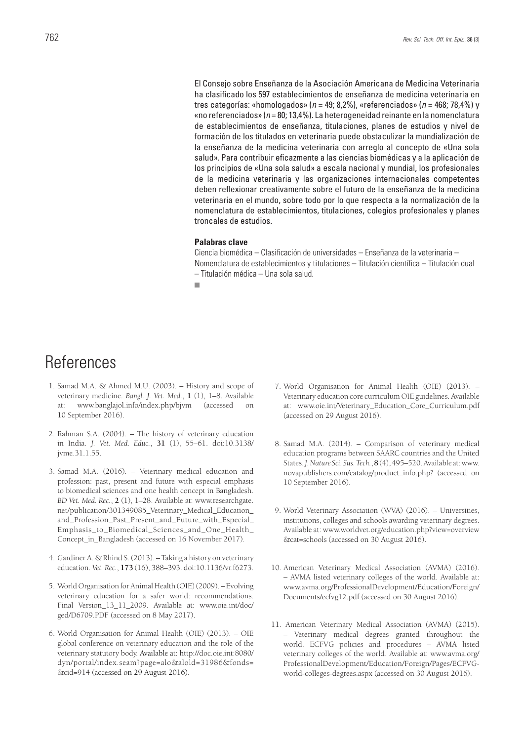El Consejo sobre Enseñanza de la Asociación Americana de Medicina Veterinaria ha clasificado los 597 establecimientos de enseñanza de medicina veterinaria en tres categorías: «homologados» (*n* = 49; 8,2%), «referenciados» (*n* = 468; 78,4%) y «no referenciados» (*n* = 80; 13,4%). La heterogeneidad reinante en la nomenclatura de establecimientos de enseñanza, titulaciones, planes de estudios y nivel de formación de los titulados en veterinaria puede obstaculizar la mundialización de la enseñanza de la medicina veterinaria con arreglo al concepto de «Una sola salud». Para contribuir eficazmente a las ciencias biomédicas y a la aplicación de los principios de «Una sola salud» a escala nacional y mundial, los profesionales de la medicina veterinaria y las organizaciones internacionales competentes deben reflexionar creativamente sobre el futuro de la enseñanza de la medicina veterinaria en el mundo, sobre todo por lo que respecta a la normalización de la nomenclatura de establecimientos, titulaciones, colegios profesionales y planes troncales de estudios.

#### **Palabras clave**

Ciencia biomédica – Clasificación de universidades – Enseñanza de la veterinaria – Nomenclatura de establecimientos y titulaciones – Titulación científica – Titulación dual – Titulación médica – Una sola salud.

## References

- 1. Samad M.A. & Ahmed M.U. (2003). History and scope of veterinary medicine. *Bangl. J. Vet. Med.*, **1** (1), 1–8. Available at: www.banglajol.info/index.php/bjvm (accessed on 10 September 2016).
- 2. Rahman S.A. (2004). The history of veterinary education in India. *J. Vet. Med. Educ.*, **31** (1), 55–61. doi:10.3138/ jvme.31.1.55.
- 3. Samad M.A. (2016). Veterinary medical education and profession: past, present and future with especial emphasis to biomedical sciences and one health concept in Bangladesh. *BD Vet. Med. Rec.*, **2** (1), 1–28. Available at: www.researchgate. net/publication/301349085\_Veterinary\_Medical\_Education\_ and\_Profession\_Past\_Present\_and\_Future\_with\_Especial\_ Emphasis\_to\_Biomedical\_Sciences\_and\_One\_Health\_ Concept\_in\_Bangladesh (accessed on 16 November 2017).
- 4. Gardiner A. & Rhind S. (2013). Taking a history on veterinary education. *Vet. Rec.*, **173** (16), 388–393. doi:10.1136/vr.f6273.
- 5. World Organisation for Animal Health (OIE) (2009). Evolving veterinary education for a safer world: recommendations. Final Version 13\_11\_2009. Available at: www.oie.int/doc/ ged/D6709.PDF (accessed on 8 May 2017).
- 6. World Organisation for Animal Health (OIE) (2013). OIE global conference on veterinary education and the role of the veterinary statutory body. Available at: http://doc.oie.int:8080/ dyn/portal/index.seam?page=alo&alold=31986&fonds= &cid=914 (accessed on 29 August 2016).
- 7. World Organisation for Animal Health (OIE) (2013). Veterinary education core curriculum OIE guidelines. Available at: www.oie.int/Veterinary\_Education\_Core\_Curriculum.pdf (accessed on 29 August 2016).
- 8. Samad M.A. (2014). Comparison of veterinary medical education programs between SAARC countries and the United States. *J. Nature Sci. Sus. Tech.*, **8**(4), 495–520. Available at: www. novapublishers.com/catalog/product\_info.php? (accessed on 10 September 2016).
- 9. World Veterinary Association (WVA) (2016). Universities, institutions, colleges and schools awarding veterinary degrees. Available at: www.worldvet.org/education.php?view=overview &cat=schools (accessed on 30 August 2016).
- 10. American Veterinary Medical Association (AVMA) (2016). – AVMA listed veterinary colleges of the world. Available at: www.avma.org/ProfessionalDevelopment/Education/Foreign/ Documents/ecfvg12.pdf (accessed on 30 August 2016).
- 11. American Veterinary Medical Association (AVMA) (2015). – Veterinary medical degrees granted throughout the world. ECFVG policies and procedures – AVMA listed veterinary colleges of the world. Available at: www.avma.org/ ProfessionalDevelopment/Education/Foreign/Pages/ECFVGworld-colleges-degrees.aspx (accessed on 30 August 2016).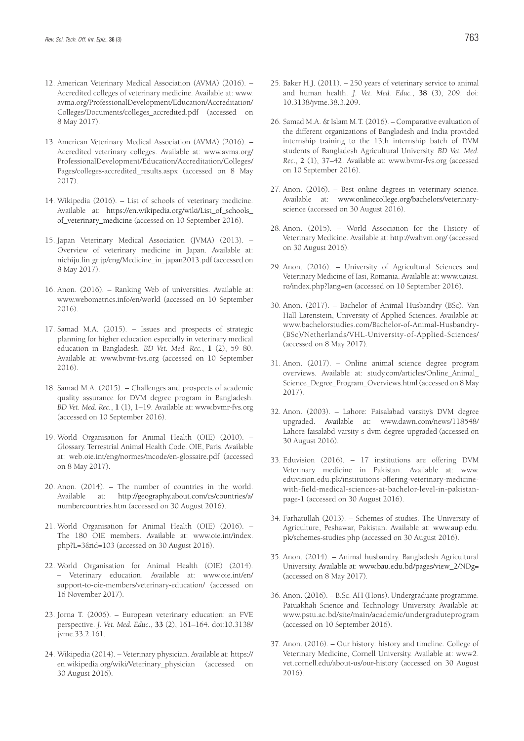- 12. American Veterinary Medical Association (AVMA) (2016). Accredited colleges of veterinary medicine. Available at: www. avma.org/ProfessionalDevelopment/Education/Accreditation/ Colleges/Documents/colleges\_accredited.pdf (accessed on 8 May 2017).
- 13. American Veterinary Medical Association (AVMA) (2016). Accredited veterinary colleges. Available at: www.avma.org/ ProfessionalDevelopment/Education/Accreditation/Colleges/ Pages/colleges-accredited\_results.aspx (accessed on 8 May 2017).
- 14. Wikipedia (2016). List of schools of veterinary medicine. Available at: https://en.wikipedia.org/wiki/List\_of\_schools\_ of\_veterinary\_medicine (accessed on 10 September 2016).
- 15. Japan Veterinary Medical Association (JVMA) (2013). Overview of veterinary medicine in Japan. Available at: nichiju.lin.gr.jp/eng/Medicine\_in\_japan2013.pdf (accessed on 8 May 2017).
- 16. Anon. (2016). Ranking Web of universities. Available at: www.webometrics.info/en/world (accessed on 10 September 2016).
- 17. Samad M.A. (2015). Issues and prospects of strategic planning for higher education especially in veterinary medical education in Bangladesh. *BD Vet. Med. Rec.*, **1** (2), 59–80. Available at: www.bvmr-fvs.org (accessed on 10 September 2016).
- 18. Samad M.A. (2015). Challenges and prospects of academic quality assurance for DVM degree program in Bangladesh. *BD Vet. Med. Rec.*, **1** (1), 1–19. Available at: www.bvmr-fvs.org (accessed on 10 September 2016).
- 19. World Organisation for Animal Health (OIE) (2010). Glossary. Terrestrial Animal Health Code. OIE, Paris. Available at: web.oie.int/eng/normes/mcode/en-glossaire.pdf (accessed on 8 May 2017).
- 20. Anon. (2014). The number of countries in the world. Available at: http://geography.about.com/cs/countries/a/ numbercountries.htm (accessed on 30 August 2016).
- 21. World Organisation for Animal Health (OIE) (2016). The 180 OIE members. Available at: www.oie.int/index. php?L=3&id=103 (accessed on 30 August 2016).
- 22. World Organisation for Animal Health (OIE) (2014). – Veterinary education. Available at: www.oie.int/en/ support-to-oie-members/veterinary-education/ (accessed on 16 November 2017).
- 23. Jorna T. (2006). European veterinary education: an FVE perspective. *J. Vet. Med. Educ*., **33** (2), 161–164. doi:10.3138/ jvme.33.2.161.
- 24. Wikipedia (2014). Veterinary physician. Available at: https:// en.wikipedia.org/wiki/Veterinary\_physician (accessed on 30 August 2016).
- 25. Baker H.J. (2011). 250 years of veterinary service to animal and human health. *J. Vet. Med. Educ.*, **38** (3), 209. doi: 10.3138/jvme.38.3.209.
- 26. Samad M.A. & Islam M.T. (2016). Comparative evaluation of the different organizations of Bangladesh and India provided internship training to the 13th internship batch of DVM students of Bangladesh Agricultural University. *BD Vet. Med. Rec*., **2** (1), 37–42. Available at: www.bvmr-fvs.org (accessed on 10 September 2016).
- 27. Anon. (2016). Best online degrees in veterinary science. Available at: www.onlinecollege.org/bachelors/veterinaryscience (accessed on 30 August 2016).
- 28. Anon. (2015). World Association for the History of Veterinary Medicine. Available at: http://wahvm.org/ (accessed on 30 August 2016).
- 29. Anon. (2016). University of Agricultural Sciences and Veterinary Medicine of Iasi, Romania. Available at: www.uaiasi. ro/index.php?lang=en (accessed on 10 September 2016).
- 30. Anon. (2017). Bachelor of Animal Husbandry (BSc). Van Hall Larenstein, University of Applied Sciences. Available at: www.bachelorstudies.com/Bachelor-of-Animal-Husbandry- (BSc)/Netherlands/VHL-University-of-Applied-Sciences/ (accessed on 8 May 2017).
- 31. Anon. (2017). Online animal science degree program overviews. Available at: study.com/articles/Online\_Animal\_ Science\_Degree\_Program\_Overviews.html (accessed on 8 May 2017).
- 32. Anon. (2003). Lahore: Faisalabad varsity's DVM degree upgraded. Available at: www.dawn.com/news/118548/ Lahore-faisalabd-varsity-s-dvm-degree-upgraded (accessed on 30 August 2016).
- 33. Eduvision (2016). 17 institutions are offering DVM Veterinary medicine in Pakistan. Available at: www. eduvision.edu.pk/institutions-offering-veterinary-medicinewith-field-medical-sciences-at-bachelor-level-in-pakistanpage-1 (accessed on 30 August 2016).
- 34. Farhatullah (2013). Schemes of studies. The University of Agriculture, Peshawar, Pakistan. Available at: www.aup.edu. pk/schemes-studies.php (accessed on 30 August 2016).
- 35. Anon. (2014). Animal husbandry. Bangladesh Agricultural University. Available at: www.bau.edu.bd/pages/view\_2/NDg= (accessed on 8 May 2017).
- 36. Anon. (2016). B.Sc. AH (Hons). Undergraduate programme. Patuakhali Science and Technology University. Available at: www.pstu.ac.bd/site/main/academic/undergraduteprogram (accessed on 10 September 2016).
- 37. Anon. (2016). Our history: history and timeline. College of Veterinary Medicine, Cornell University. Available at: www2. vet.cornell.edu/about-us/our-history (accessed on 30 August 2016).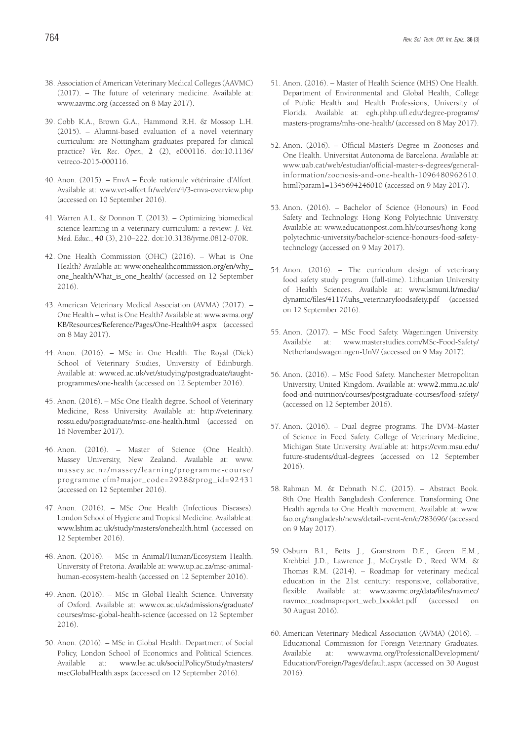- 38. Association of American Veterinary Medical Colleges (AAVMC) (2017). – The future of veterinary medicine. Available at: www.aavmc.org (accessed on 8 May 2017).
- 39. Cobb K.A., Brown G.A., Hammond R.H. & Mossop L.H. (2015). – Alumni-based evaluation of a novel veterinary curriculum: are Nottingham graduates prepared for clinical practice? *Vet. Rec*. *Open*, **2** (2), e000116. doi:10.1136/ vetreco-2015-000116.
- 40. Anon. (2015). EnvA École nationale vétérinaire d'Alfort. Available at: www.vet-alfort.fr/web/en/4/3-enva-overview.php (accessed on 10 September 2016).
- 41. Warren A.L. & Donnon T. (2013). Optimizing biomedical science learning in a veterinary curriculum: a review: *J. Vet. Med. Educ*., **40** (3), 210–222. doi:10.3138/jvme.0812-070R.
- 42. One Health Commission (OHC) (2016). What is One Health? Available at: www.onehealthcommission.org/en/why\_ one\_health/What\_is\_one\_health/ (accessed on 12 September 2016).
- 43. American Veterinary Medical Association (AVMA) (2017). One Health – what is One Health? Available at: www.avma.org/ KB/Resources/Reference/Pages/One-Health94.aspx (accessed on 8 May 2017).
- 44. Anon. (2016). MSc in One Health. The Royal (Dick) School of Veterinary Studies, University of Edinburgh. Available at: www.ed.ac.uk/vet/studying/postgraduate/taughtprogrammes/one-health (accessed on 12 September 2016).
- 45. Anon. (2016). MSc One Health degree. School of Veterinary Medicine, Ross University. Available at: http://veterinary. rossu.edu/postgraduate/msc-one-health.html (accessed on 16 November 2017).
- 46. Anon. (2016). Master of Science (One Health). Massey University, New Zealand. Available at: www. massey.ac.nz/massey/learning/programme-course/ programme.cfm?major\_code=2928&prog\_id=92431 (accessed on 12 September 2016).
- 47. Anon. (2016). MSc One Health (Infectious Diseases). London School of Hygiene and Tropical Medicine. Available at: www.lshtm.ac.uk/study/masters/onehealth.html (accessed on 12 September 2016).
- 48. Anon. (2016). MSc in Animal/Human/Ecosystem Health. University of Pretoria. Available at: www.up.ac.za/msc-animalhuman-ecosystem-health (accessed on 12 September 2016).
- 49. Anon. (2016). MSc in Global Health Science. University of Oxford. Available at: www.ox.ac.uk/admissions/graduate/ courses/msc-global-health-science (accessed on 12 September 2016).
- 50. Anon. (2016). MSc in Global Health. Department of Social Policy, London School of Economics and Political Sciences. Available at: www.lse.ac.uk/socialPolicy/Study/masters/ mscGlobalHealth.aspx (accessed on 12 September 2016).
- 51. Anon. (2016). Master of Health Science (MHS) One Health. Department of Environmental and Global Health, College of Public Health and Health Professions, University of Florida. Available at: egh.phhp.ufl.edu/degree-programs/ masters-programs/mhs-one-health/ (accessed on 8 May 2017).
- 52. Anon. (2016). Official Master's Degree in Zoonoses and One Health. Universitat Autonoma de Barcelona. Available at: www.uab.cat/web/estudiar/official-master-s-degrees/generalinformation/zoonosis-and-one-health-1096480962610. html?param1=1345694246010 (accessed on 9 May 2017).
- 53. Anon. (2016). Bachelor of Science (Honours) in Food Safety and Technology. Hong Kong Polytechnic University. Available at: www.educationpost.com.hh/courses/hong-kongpolytechnic-university/bachelor-science-honours-food-safetytechnology (accessed on 9 May 2017).
- 54. Anon. (2016). The curriculum design of veterinary food safety study program (full-time). Lithuanian University of Health Sciences. Available at: www.lsmuni.lt/media/ dynamic/files/4117/luhs\_veterinaryfoodsafety.pdf (accessed on 12 September 2016).
- 55. Anon. (2017). MSc Food Safety. Wageningen University. Available at: www.masterstudies.com/MSc-Food-Safety/ Netherlandswageningen-UnV/ (accessed on 9 May 2017).
- 56. Anon. (2016). MSc Food Safety. Manchester Metropolitan University, United Kingdom. Available at: www2.mmu.ac.uk/ food-and-nutrition/courses/postgraduate-courses/food-safety/ (accessed on 12 September 2016).
- 57. Anon. (2016). Dual degree programs. The DVM–Master of Science in Food Safety. College of Veterinary Medicine, Michigan State University. Available at: https://cvm.msu.edu/ future-students/dual-degrees (accessed on 12 September 2016).
- 58. Rahman M. & Debnath N.C. (2015). Abstract Book. 8th One Health Bangladesh Conference. Transforming One Health agenda to One Health movement. Available at: www. fao.org/bangladesh/news/detail-event-/en/c/283696/ (accessed on 9 May 2017).
- 59. Osburn B.I., Betts J., Granstrom D.E., Green E.M., Krehbiel J.D., Lawrence J., McCrystle D., Reed W.M. & Thomas R.M. (2014). – Roadmap for veterinary medical education in the 21st century: responsive, collaborative, flexible. Available at: www.aavmc.org/data/files/navmec/ navmec\_roadmapreport\_web\_booklet.pdf (accessed on 30 August 2016).
- 60. American Veterinary Medical Association (AVMA) (2016). Educational Commission for Foreign Veterinary Graduates. Available at: www.avma.org/ProfessionalDevelopment/ Education/Foreign/Pages/default.aspx (accessed on 30 August 2016).